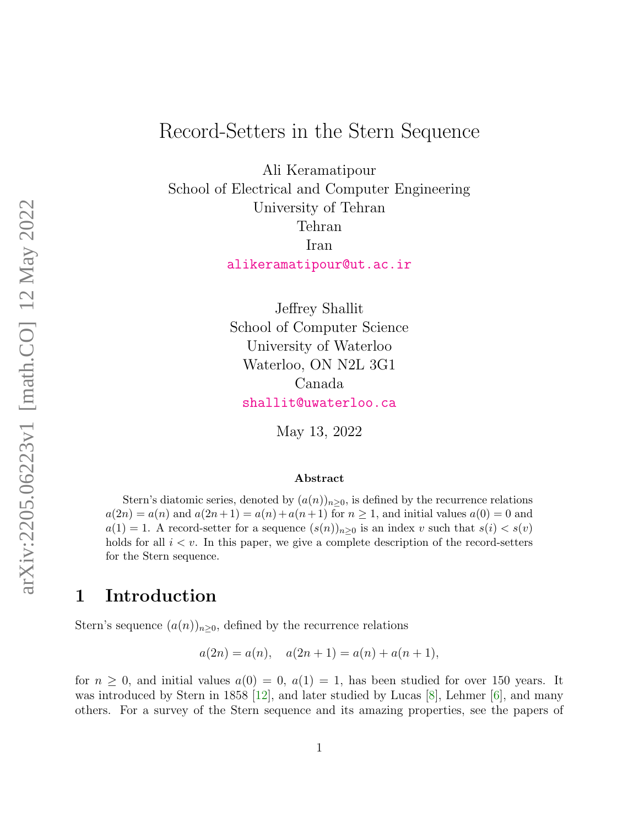# Record-Setters in the Stern Sequence

Ali Keramatipour School of Electrical and Computer Engineering University of Tehran Tehran Iran [alikeramatipour@ut.ac.ir](mailto:alikeramatipour@ut.ac.ir)

> Jeffrey Shallit School of Computer Science University of Waterloo Waterloo, ON N2L 3G1 Canada [shallit@uwaterloo.ca](mailto:shallit@uwaterloo.ca)

> > May 13, 2022

#### Abstract

Stern's diatomic series, denoted by  $(a(n))_{n\geq 0}$ , is defined by the recurrence relations  $a(2n) = a(n)$  and  $a(2n+1) = a(n) + a(n+1)$  for  $n \ge 1$ , and initial values  $a(0) = 0$  and  $a(1) = 1$ . A record-setter for a sequence  $(s(n))_{n\geq 0}$  is an index v such that  $s(i) < s(v)$ holds for all  $i < v$ . In this paper, we give a complete description of the record-setters for the Stern sequence.

#### 1 Introduction

Stern's sequence  $(a(n))_{n\geq 0}$ , defined by the recurrence relations

 $a(2n) = a(n), \quad a(2n+1) = a(n) + a(n+1),$ 

for  $n \geq 0$ , and initial values  $a(0) = 0$ ,  $a(1) = 1$ , has been studied for over 150 years. It was introduced by Stern in 1858 [\[12\]](#page-24-0), and later studied by Lucas [\[8\]](#page-24-1), Lehmer  $[6]$ , and many others. For a survey of the Stern sequence and its amazing properties, see the papers of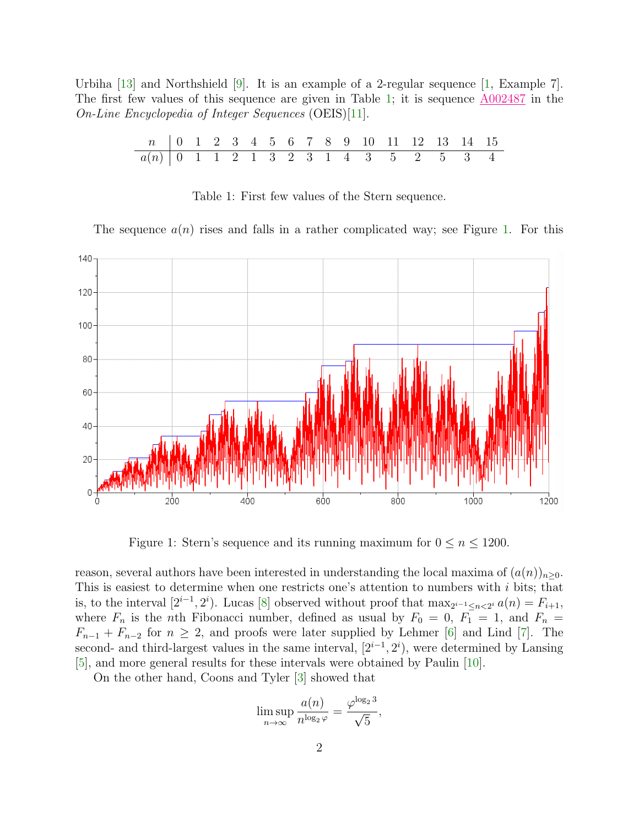<span id="page-1-0"></span>Urbiha [\[13\]](#page-24-3) and Northshield [\[9\]](#page-24-4). It is an example of a 2-regular sequence [\[1,](#page-23-0) Example 7]. The first few values of this sequence are given in Table [1;](#page-1-0) it is sequence [A002487](https://oeis.org/A002487) in the On-Line Encyclopedia of Integer Sequences (OEIS)[\[11\]](#page-24-5).

| n   0 1 2 3 4 5 6 7 8 9 10 11 12 13 14 15 |  |  |  |  |  |  |  |  |
|-------------------------------------------|--|--|--|--|--|--|--|--|
| $a(n)$ 0 1 1 2 1 3 2 3 1 4 3 5 2 5 3 4    |  |  |  |  |  |  |  |  |

Table 1: First few values of the Stern sequence.

The sequence  $a(n)$  rises and falls in a rather complicated way; see Figure [1.](#page-1-1) For this

<span id="page-1-1"></span>

Figure 1: Stern's sequence and its running maximum for  $0 \le n \le 1200$ .

reason, several authors have been interested in understanding the local maxima of  $(a(n))_{n>0}$ . This is easiest to determine when one restricts one's attention to numbers with i bits; that is, to the interval  $[2^{i-1}, 2^i)$ . Lucas [\[8\]](#page-24-1) observed without proof that  $\max_{2^{i-1} \le n < 2^i} a(n) = F_{i+1}$ , where  $F_n$  is the nth Fibonacci number, defined as usual by  $F_0 = 0$ ,  $F_1 = 1$ , and  $F_n =$  $F_{n-1} + F_{n-2}$  for  $n \geq 2$ , and proofs were later supplied by Lehmer [\[6\]](#page-24-2) and Lind [\[7\]](#page-24-6). The second- and third-largest values in the same interval,  $[2^{i-1}, 2^i)$ , were determined by Lansing [\[5\]](#page-23-1), and more general results for these intervals were obtained by Paulin [\[10\]](#page-24-7).

On the other hand, Coons and Tyler [\[3\]](#page-23-2) showed that

$$
\limsup_{n \to \infty} \frac{a(n)}{n^{\log_2 \varphi}} = \frac{\varphi^{\log_2 3}}{\sqrt{5}},
$$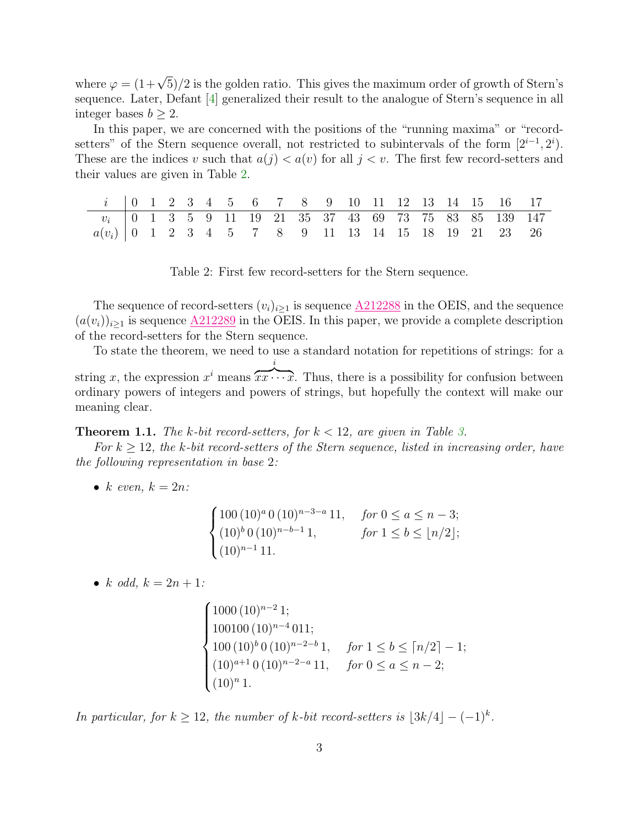where  $\varphi = (1+\sqrt{5})/2$  is the golden ratio. This gives the maximum order of growth of Stern's sequence. Later, Defant [\[4\]](#page-23-3) generalized their result to the analogue of Stern's sequence in all integer bases  $b > 2$ .

In this paper, we are concerned with the positions of the "running maxima" or "recordsetters" of the Stern sequence overall, not restricted to subintervals of the form  $[2^{i-1}, 2^i)$ . These are the indices v such that  $a(j) < a(v)$  for all  $j < v$ . The first few record-setters and their values are given in Table [2.](#page-2-0)

<span id="page-2-0"></span>

| $i$   0 1 2 3 4 5 6 7 8 9 10 11 12 13 14 15 16 17                                                 |  |  |  |  |  |  |  |  |  |
|---------------------------------------------------------------------------------------------------|--|--|--|--|--|--|--|--|--|
| $v_i$   0 1 3 5 9 11 19 21 35 37 43 69 73 75 83 85 139 147                                        |  |  |  |  |  |  |  |  |  |
| $a(v_i)$   0   1   2   3   4   5   5   7   8   8   9   11   13   14   15   18   19   21   23   26 |  |  |  |  |  |  |  |  |  |

Table 2: First few record-setters for the Stern sequence.

The sequence of record-setters  $(v_i)_{i\geq 1}$  is sequence  $\underline{\text{A212288}}$  $\underline{\text{A212288}}$  $\underline{\text{A212288}}$  in the OEIS, and the sequence  $(a(v_i))_{i\geq 1}$  is sequence  $\underline{A212289}$  $\underline{A212289}$  $\underline{A212289}$  in the OEIS. In this paper, we provide a complete description of the record-setters for the Stern sequence.

To state the theorem, we need to use a standard notation for repetitions of strings: for a string x, the expression  $x^i$  means  $\overline{xx \cdots x}$ . Thus, there is a possibility for confusion between i ordinary powers of integers and powers of strings, but hopefully the context will make our meaning clear.

<span id="page-2-1"></span>**Theorem 1.1.** The k-bit record-setters, for  $k < 12$ , are given in Table [3.](#page-3-0)

For  $k \geq 12$ , the k-bit record-setters of the Stern sequence, listed in increasing order, have the following representation in base 2:

• k even,  $k = 2n$ :

$$
\begin{cases}\n100 (10)^a 0 (10)^{n-3-a} 11, & \text{for } 0 \le a \le n-3; \\
(10)^b 0 (10)^{n-b-1} 1, & \text{for } 1 \le b \le \lfloor n/2 \rfloor; \\
(10)^{n-1} 11.\n\end{cases}
$$

• k odd,  $k = 2n + 1$ :

$$
\begin{cases}\n1000 (10)^{n-2} 1; \n100100 (10)^{n-4} 011; \n100 (10)^{b} 0 (10)^{n-2-b} 1, & \text{for } 1 \le b \le \lceil n/2 \rceil - 1; \n(10)^{a+1} 0 (10)^{n-2-a} 11, & \text{for } 0 \le a \le n-2; \n(10)^{n} 1.\n\end{cases}
$$

In particular, for  $k \geq 12$ , the number of k-bit record-setters is  $\lfloor 3k/4 \rfloor - (-1)^k$ .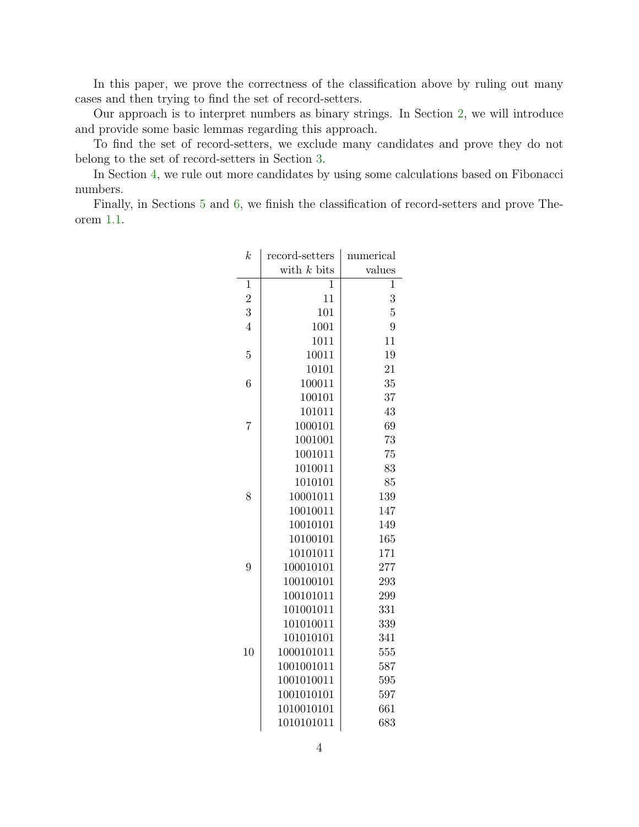In this paper, we prove the correctness of the classification above by ruling out many cases and then trying to find the set of record-setters.

Our approach is to interpret numbers as binary strings. In Section [2,](#page-4-0) we will introduce and provide some basic lemmas regarding this approach.

To find the set of record-setters, we exclude many candidates and prove they do not belong to the set of record-setters in Section [3.](#page-7-0)

In Section [4,](#page-11-0) we rule out more candidates by using some calculations based on Fibonacci numbers.

<span id="page-3-0"></span>Finally, in Sections [5](#page-19-0) and [6,](#page-20-0) we finish the classification of record-setters and prove Theorem [1.1.](#page-2-1)

| $\boldsymbol{k}$ | record-setters | numerical      |
|------------------|----------------|----------------|
|                  | with $k$ bits  | values         |
| $\mathbf{1}$     | 1              | $\overline{1}$ |
| $\overline{2}$   | 11             | 3              |
| 3                | 101            | $\overline{5}$ |
| $\overline{4}$   | 1001           | 9              |
|                  | 1011           | 11             |
| $\overline{5}$   | 10011          | 19             |
|                  | 10101          | 21             |
| 6                | 100011         | 35             |
|                  | 100101         | 37             |
|                  | 101011         | 43             |
| 7                | 1000101        | 69             |
|                  | 1001001        | 73             |
|                  | 1001011        | 75             |
|                  | 1010011        | 83             |
|                  | 1010101        | 85             |
| 8                | 10001011       | 139            |
|                  | 10010011       | 147            |
|                  | 10010101       | 149            |
|                  | 10100101       | 165            |
|                  | 10101011       | 171            |
| 9                | 100010101      | 277            |
|                  | 100100101      | 293            |
|                  | 100101011      | 299            |
|                  | 101001011      | 331            |
|                  | 101010011      | 339            |
|                  | 101010101      | 341            |
| 10               | 1000101011     | 555            |
|                  | 1001001011     | 587            |
|                  | 1001010011     | 595            |
|                  | 1001010101     | 597            |
|                  | 1010010101     | 661            |
|                  | 1010101011     | 683            |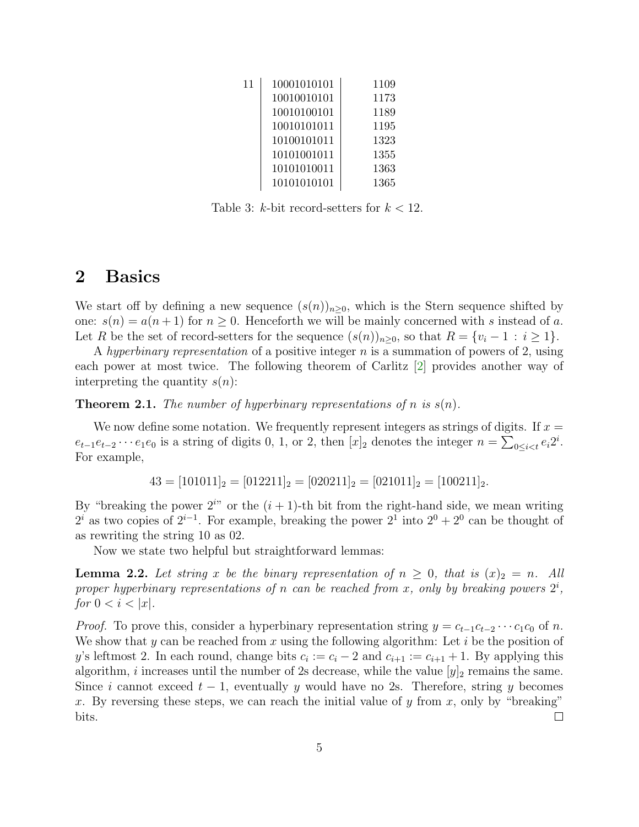| 11 | 10001010101 | 1109 |
|----|-------------|------|
|    | 10010010101 | 1173 |
|    | 10010100101 | 1189 |
|    | 10010101011 | 1195 |
|    | 10100101011 | 1323 |
|    | 10101001011 | 1355 |
|    | 10101010011 | 1363 |
|    | 10101010101 | 1365 |

Table 3: k-bit record-setters for  $k < 12$ .

#### <span id="page-4-0"></span>2 Basics

We start off by defining a new sequence  $(s(n))_{n>0}$ , which is the Stern sequence shifted by one:  $s(n) = a(n+1)$  for  $n \geq 0$ . Henceforth we will be mainly concerned with s instead of a. Let R be the set of record-setters for the sequence  $(s(n))_{n\geq 0}$ , so that  $R = \{v_i - 1 : i \geq 1\}$ .

A hyperbinary representation of a positive integer n is a summation of powers of 2, using each power at most twice. The following theorem of Carlitz [\[2\]](#page-23-4) provides another way of interpreting the quantity  $s(n)$ :

<span id="page-4-1"></span>**Theorem 2.1.** The number of hyperbinary representations of n is  $s(n)$ .

We now define some notation. We frequently represent integers as strings of digits. If  $x =$  $e_{t-1}e_{t-2}\cdots e_1e_0$  is a string of digits 0, 1, or 2, then  $[x]_2$  denotes the integer  $n = \sum_{0 \le i \le t} e_i 2^i$ . For example,

 $43 = [101011]_2 = [012211]_2 = [020211]_2 = [021011]_2 = [100211]_2.$ 

By "breaking the power  $2^{i}$ " or the  $(i + 1)$ -th bit from the right-hand side, we mean writing  $2^i$  as two copies of  $2^{i-1}$ . For example, breaking the power  $2^1$  into  $2^0 + 2^0$  can be thought of as rewriting the string 10 as 02.

Now we state two helpful but straightforward lemmas:

<span id="page-4-2"></span>**Lemma 2.2.** Let string x be the binary representation of  $n \geq 0$ , that is  $(x)_2 = n$ . All proper hyperbinary representations of n can be reached from x, only by breaking powers  $2^i$ , for  $0 < i < |x|$ .

*Proof.* To prove this, consider a hyperbinary representation string  $y = c_{t-1}c_{t-2} \cdots c_1c_0$  of n. We show that y can be reached from x using the following algorithm: Let i be the position of y's leftmost 2. In each round, change bits  $c_i := c_i - 2$  and  $c_{i+1} := c_{i+1} + 1$ . By applying this algorithm, i increases until the number of 2s decrease, while the value  $[y]_2$  remains the same. Since i cannot exceed  $t-1$ , eventually y would have no 2s. Therefore, string y becomes x. By reversing these steps, we can reach the initial value of y from x, only by "breaking" bits.  $\Box$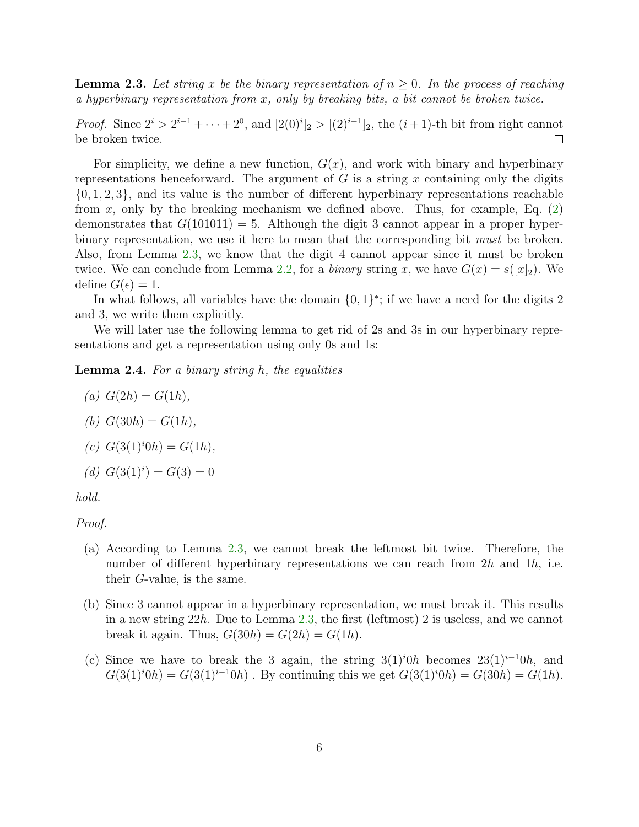<span id="page-5-0"></span>**Lemma 2.3.** Let string x be the binary representation of  $n \geq 0$ . In the process of reaching a hyperbinary representation from x, only by breaking bits, a bit cannot be broken twice.

*Proof.* Since  $2^{i} > 2^{i-1} + \cdots + 2^{0}$ , and  $[2(0)^{i}]_2 > [(2)^{i-1}]_2$ , the  $(i + 1)$ -th bit from right cannot be broken twice.  $\Box$ 

For simplicity, we define a new function,  $G(x)$ , and work with binary and hyperbinary representations henceforward. The argument of  $G$  is a string x containing only the digits  $\{0, 1, 2, 3\}$ , and its value is the number of different hyperbinary representations reachable from x, only by the breaking mechanism we defined above. Thus, for example, Eq.  $(2)$ demonstrates that  $G(101011) = 5$ . Although the digit 3 cannot appear in a proper hyperbinary representation, we use it here to mean that the corresponding bit *must* be broken. Also, from Lemma [2.3,](#page-5-0) we know that the digit 4 cannot appear since it must be broken twice. We can conclude from Lemma [2.2,](#page-4-2) for a binary string x, we have  $G(x) = s([x]_2)$ . We define  $G(\epsilon) = 1$ .

In what follows, all variables have the domain  $\{0,1\}^*$ ; if we have a need for the digits 2 and 3, we write them explicitly.

We will later use the following lemma to get rid of 2s and 3s in our hyperbinary representations and get a representation using only 0s and 1s:

<span id="page-5-1"></span>**Lemma 2.4.** For a binary string  $h$ , the equalities

$$
(a) G(2h) = G(1h),
$$

(b) 
$$
G(30h) = G(1h)
$$
,

$$
(c) G(3(1)^{i}0h) = G(1h),
$$

(d) 
$$
G(3(1)^i) = G(3) = 0
$$

hold.

#### Proof.

- (a) According to Lemma [2.3,](#page-5-0) we cannot break the leftmost bit twice. Therefore, the number of different hyperbinary representations we can reach from  $2h$  and  $1h$ , i.e. their G-value, is the same.
- (b) Since 3 cannot appear in a hyperbinary representation, we must break it. This results in a new string 22h. Due to Lemma [2.3,](#page-5-0) the first (leftmost) 2 is useless, and we cannot break it again. Thus,  $G(30h) = G(2h) = G(1h)$ .
- (c) Since we have to break the 3 again, the string  $3(1)^{i}0h$  becomes  $23(1)^{i-1}0h$ , and  $G(3(1)^{i}0h) = G(3(1)^{i-1}0h)$ . By continuing this we get  $G(3(1)^{i}0h) = G(30h) = G(1h)$ .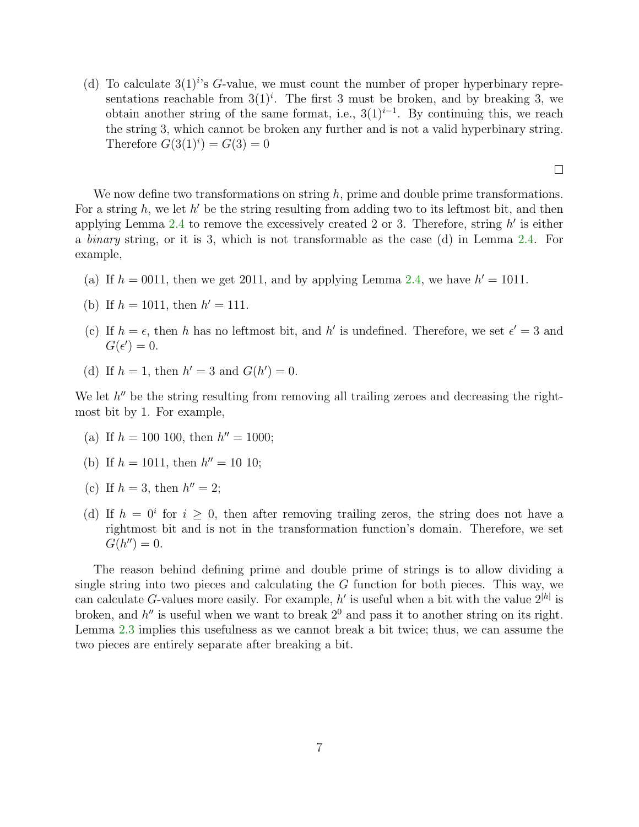(d) To calculate  $3(1)^i$ 's G-value, we must count the number of proper hyperbinary representations reachable from  $3(1)^i$ . The first 3 must be broken, and by breaking 3, we obtain another string of the same format, i.e.,  $3(1)^{i-1}$ . By continuing this, we reach the string 3, which cannot be broken any further and is not a valid hyperbinary string. Therefore  $G(3(1)^i) = G(3) = 0$ 

 $\Box$ 

We now define two transformations on string  $h$ , prime and double prime transformations. For a string  $h$ , we let  $h'$  be the string resulting from adding two to its leftmost bit, and then applying Lemma [2.4](#page-5-1) to remove the excessively created 2 or 3. Therefore, string  $h'$  is either a binary string, or it is 3, which is not transformable as the case (d) in Lemma [2.4.](#page-5-1) For example,

- (a) If  $h = 0011$ , then we get 2011, and by applying Lemma [2.4,](#page-5-1) we have  $h' = 1011$ .
- (b) If  $h = 1011$ , then  $h' = 111$ .
- (c) If  $h = \epsilon$ , then h has no leftmost bit, and h' is undefined. Therefore, we set  $\epsilon' = 3$  and  $G(\epsilon')=0.$
- (d) If  $h = 1$ , then  $h' = 3$  and  $G(h') = 0$ .

We let  $h''$  be the string resulting from removing all trailing zeroes and decreasing the rightmost bit by 1. For example,

- (a) If  $h = 100$  100, then  $h'' = 1000$ ;
- (b) If  $h = 1011$ , then  $h'' = 10110$ ;
- (c) If  $h = 3$ , then  $h'' = 2$ ;
- (d) If  $h = 0^i$  for  $i \geq 0$ , then after removing trailing zeros, the string does not have a rightmost bit and is not in the transformation function's domain. Therefore, we set  $G(h'') = 0.$

The reason behind defining prime and double prime of strings is to allow dividing a single string into two pieces and calculating the G function for both pieces. This way, we can calculate G-values more easily. For example,  $h'$  is useful when a bit with the value  $2^{|h|}$  is broken, and  $h''$  is useful when we want to break  $2<sup>0</sup>$  and pass it to another string on its right. Lemma [2.3](#page-5-0) implies this usefulness as we cannot break a bit twice; thus, we can assume the two pieces are entirely separate after breaking a bit.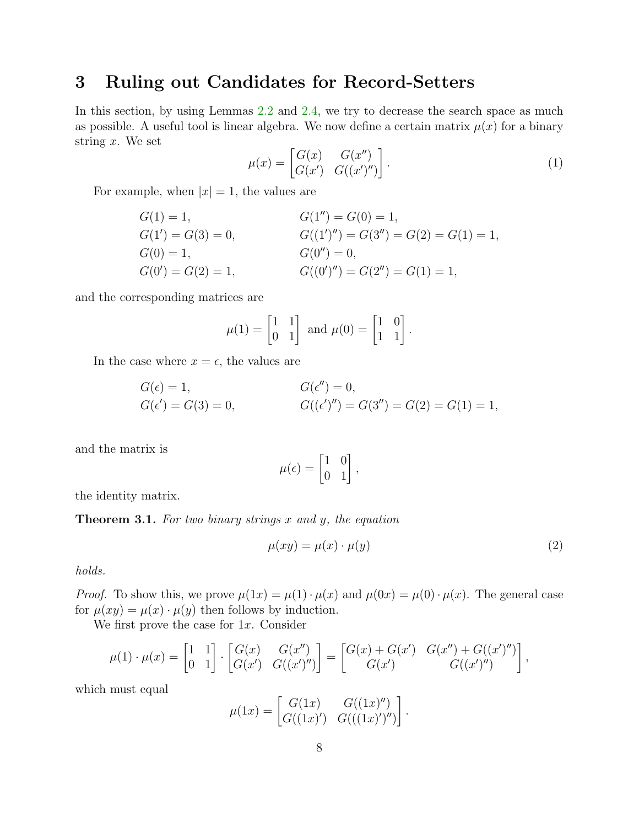## <span id="page-7-0"></span>3 Ruling out Candidates for Record-Setters

In this section, by using Lemmas [2.2](#page-4-2) and [2.4,](#page-5-1) we try to decrease the search space as much as possible. A useful tool is linear algebra. We now define a certain matrix  $\mu(x)$  for a binary string  $x$ . We set

$$
\mu(x) = \begin{bmatrix} G(x) & G(x'') \\ G(x') & G((x')'') \end{bmatrix} . \tag{1}
$$

For example, when  $|x| = 1$ , the values are

$$
G(1) = 1,
$$
  
\n
$$
G(1') = G(3) = 0,
$$
  
\n
$$
G(0') = 1,
$$
  
\n
$$
G(0') = 0,
$$
  
\n
$$
G(0') = G(2) = 1,
$$
  
\n
$$
G(0'') = 0,
$$
  
\n
$$
G(0'') = G(2'') = G(1) = 1,
$$
  
\n
$$
G(0'') = G(2'') = G(1) = 1,
$$

and the corresponding matrices are

$$
\mu(1) = \begin{bmatrix} 1 & 1 \\ 0 & 1 \end{bmatrix} \text{ and } \mu(0) = \begin{bmatrix} 1 & 0 \\ 1 & 1 \end{bmatrix}.
$$

In the case where  $x = \epsilon$ , the values are

$$
G(\epsilon) = 1,
$$
  
\n $G(\epsilon') = 0,$   
\n $G(\epsilon') = G(3) = 0,$   
\n $G((\epsilon')'') = G(3'') = G(2) = G(1) = 1,$ 

and the matrix is

$$
\mu(\epsilon) = \begin{bmatrix} 1 & 0 \\ 0 & 1 \end{bmatrix},
$$

the identity matrix.

<span id="page-7-1"></span>**Theorem 3.1.** For two binary strings  $x$  and  $y$ , the equation

$$
\mu(xy) = \mu(x) \cdot \mu(y) \tag{2}
$$

holds.

*Proof.* To show this, we prove  $\mu(1x) = \mu(1) \cdot \mu(x)$  and  $\mu(0x) = \mu(0) \cdot \mu(x)$ . The general case for  $\mu(xy) = \mu(x) \cdot \mu(y)$  then follows by induction.

We first prove the case for  $1x$ . Consider

$$
\mu(1) \cdot \mu(x) = \begin{bmatrix} 1 & 1 \\ 0 & 1 \end{bmatrix} \cdot \begin{bmatrix} G(x) & G(x'') \\ G(x') & G((x')'') \end{bmatrix} = \begin{bmatrix} G(x) + G(x') & G(x'') + G((x')'') \\ G(x') & G((x')'') \end{bmatrix},
$$

which must equal

$$
\mu(1x) = \begin{bmatrix} G(1x) & G((1x)^{\prime\prime}) \\ G((1x)^{\prime}) & G(((1x)^{\prime})^{\prime\prime}) \end{bmatrix}.
$$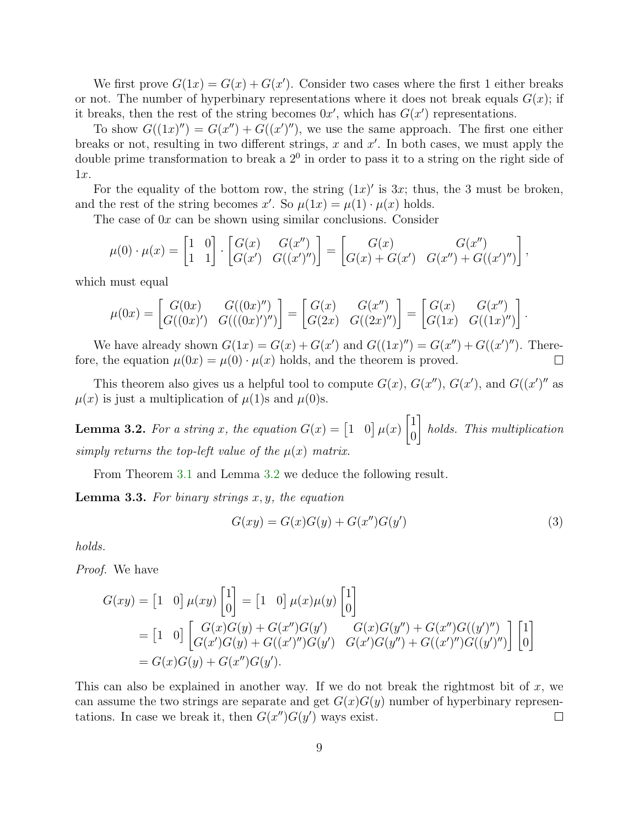We first prove  $G(1x) = G(x) + G(x')$ . Consider two cases where the first 1 either breaks or not. The number of hyperbinary representations where it does not break equals  $G(x)$ ; if it breaks, then the rest of the string becomes  $0x'$ , which has  $G(x')$  representations.

To show  $G((1x)''') = G(x'') + G((x')'')$ , we use the same approach. The first one either breaks or not, resulting in two different strings,  $x$  and  $x'$ . In both cases, we must apply the double prime transformation to break a  $2<sup>0</sup>$  in order to pass it to a string on the right side of 1x.

For the equality of the bottom row, the string  $(1x)'$  is 3x; thus, the 3 must be broken, and the rest of the string becomes x'. So  $\mu(1x) = \mu(1) \cdot \mu(x)$  holds.

The case of  $0x$  can be shown using similar conclusions. Consider

$$
\mu(0) \cdot \mu(x) = \begin{bmatrix} 1 & 0 \\ 1 & 1 \end{bmatrix} \cdot \begin{bmatrix} G(x) & G(x'') \\ G(x') & G((x')'') \end{bmatrix} = \begin{bmatrix} G(x) & G(x'') \\ G(x) + G(x') & G(x'') + G((x')'') \end{bmatrix},
$$

which must equal

$$
\mu(0x) = \begin{bmatrix} G(0x) & G((0x)') \\ G((0x)') & G(((0x)')'') \end{bmatrix} = \begin{bmatrix} G(x) & G(x'') \\ G(2x) & G((2x)') \end{bmatrix} = \begin{bmatrix} G(x) & G(x'') \\ G(1x) & G((1x)') \end{bmatrix}
$$

We have already shown  $G(1x) = G(x) + G(x')$  and  $G((1x)'') = G(x'') + G((x')'')$ . Therefore, the equation  $\mu(0x) = \mu(0) \cdot \mu(x)$  holds, and the theorem is proved.  $\Box$ 

This theorem also gives us a helpful tool to compute  $G(x)$ ,  $G(x'')$ ,  $G(x')$ , and  $G((x'')'$  as  $\mu(x)$  is just a multiplication of  $\mu(1)$ s and  $\mu(0)$ s.

<span id="page-8-0"></span>**Lemma 3.2.** For a string x, the equation  $G(x) = \begin{bmatrix} 1 & 0 \end{bmatrix} \mu(x)$  $\lceil 1 \rceil$ 0 1 holds. This multiplication simply returns the top-left value of the  $\mu(x)$  matrix.

From Theorem [3.1](#page-7-1) and Lemma [3.2](#page-8-0) we deduce the following result.

**Lemma 3.3.** For binary strings  $x, y$ , the equation

$$
G(xy) = G(x)G(y) + G(x'')G(y')
$$
\n(3)

.

holds.

Proof. We have

$$
G(xy) = \begin{bmatrix} 1 & 0 \end{bmatrix} \mu(xy) \begin{bmatrix} 1 \\ 0 \end{bmatrix} = \begin{bmatrix} 1 & 0 \end{bmatrix} \mu(x)\mu(y) \begin{bmatrix} 1 \\ 0 \end{bmatrix}
$$
  
= 
$$
\begin{bmatrix} 1 & 0 \end{bmatrix} \begin{bmatrix} G(x)G(y) + G(x'')G(y') & G(x)G(y'') + G(x'')G((y')'') \\ G(x')G(y) + G((x')'')G(y') & G(x')G(y'') + G((x')'')G((y')'') \end{bmatrix} \begin{bmatrix} 1 \\ 0 \end{bmatrix}
$$
  
= 
$$
G(x)G(y) + G(x'')G(y').
$$

This can also be explained in another way. If we do not break the rightmost bit of  $x$ , we can assume the two strings are separate and get  $G(x)G(y)$  number of hyperbinary representations. In case we break it, then  $G(x'')G(y')$  ways exist.  $\Box$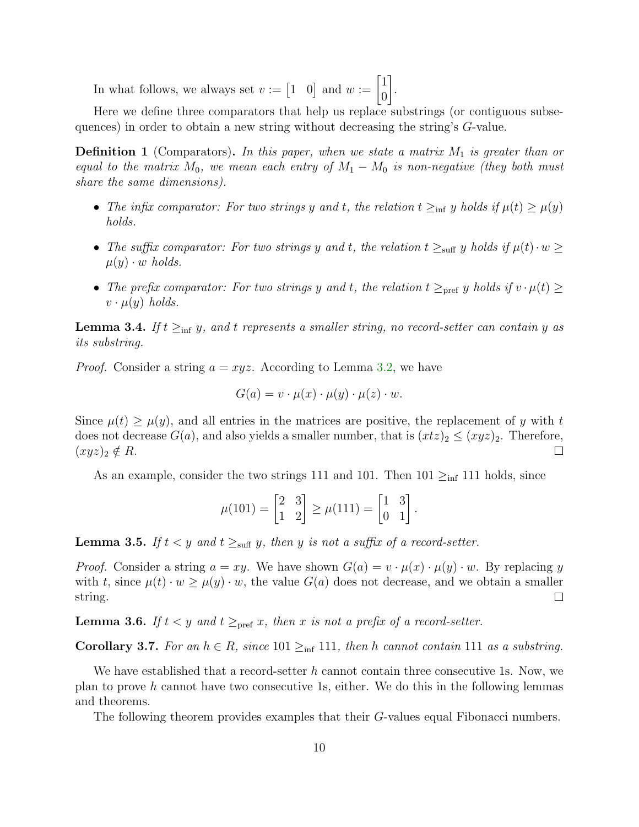In what follows, we always set  $v := \begin{bmatrix} 1 & 0 \end{bmatrix}$  and  $w := \begin{bmatrix} 1 \\ 0 \end{bmatrix}$  $\overline{0}$ 1 .

Here we define three comparators that help us replace substrings (or contiguous subsequences) in order to obtain a new string without decreasing the string's G-value.

**Definition 1** (Comparators). In this paper, when we state a matrix  $M_1$  is greater than or equal to the matrix  $M_0$ , we mean each entry of  $M_1 - M_0$  is non-negative (they both must share the same dimensions).

- The infix comparator: For two strings y and t, the relation  $t \geq_{\text{inf}} y$  holds if  $\mu(t) \geq \mu(y)$ holds.
- The suffix comparator: For two strings y and t, the relation  $t \geq_{\text{suff}} y$  holds if  $\mu(t) \cdot w \geq$  $\mu(y) \cdot w$  holds.
- The prefix comparator: For two strings y and t, the relation  $t \geq_{\text{pref}} y$  holds if  $v \cdot \mu(t) \geq$  $v \cdot \mu(y)$  holds.

**Lemma 3.4.** If  $t \geq_{\text{inf}} y$ , and t represents a smaller string, no record-setter can contain y as its substring.

*Proof.* Consider a string  $a = xyz$ . According to Lemma [3.2,](#page-8-0) we have

$$
G(a) = v \cdot \mu(x) \cdot \mu(y) \cdot \mu(z) \cdot w.
$$

Since  $\mu(t) > \mu(y)$ , and all entries in the matrices are positive, the replacement of y with t does not decrease  $G(a)$ , and also yields a smaller number, that is  $(xtz)_2 \leq (xyz)_2$ . Therefore,  $(xyz)_2 \notin R$ .  $\Box$ 

As an example, consider the two strings 111 and 101. Then  $101 \geq_{\text{inf}} 111$  holds, since

$$
\mu(101) = \begin{bmatrix} 2 & 3 \\ 1 & 2 \end{bmatrix} \ge \mu(111) = \begin{bmatrix} 1 & 3 \\ 0 & 1 \end{bmatrix}.
$$

**Lemma 3.5.** If  $t < y$  and  $t \geq_{\text{surf}} y$ , then y is not a suffix of a record-setter.

*Proof.* Consider a string  $a = xy$ . We have shown  $G(a) = v \cdot \mu(x) \cdot \mu(y) \cdot w$ . By replacing y with t, since  $\mu(t) \cdot w \geq \mu(y) \cdot w$ , the value  $G(a)$  does not decrease, and we obtain a smaller string.  $\Box$ 

**Lemma 3.6.** If  $t < y$  and  $t \geq_{\text{pref}} x$ , then x is not a prefix of a record-setter.

Corollary 3.7. For an  $h \in R$ , since 101  $\geq_{\text{inf}}$  111, then h cannot contain 111 as a substring.

We have established that a record-setter h cannot contain three consecutive 1s. Now, we plan to prove h cannot have two consecutive 1s, either. We do this in the following lemmas and theorems.

The following theorem provides examples that their G-values equal Fibonacci numbers.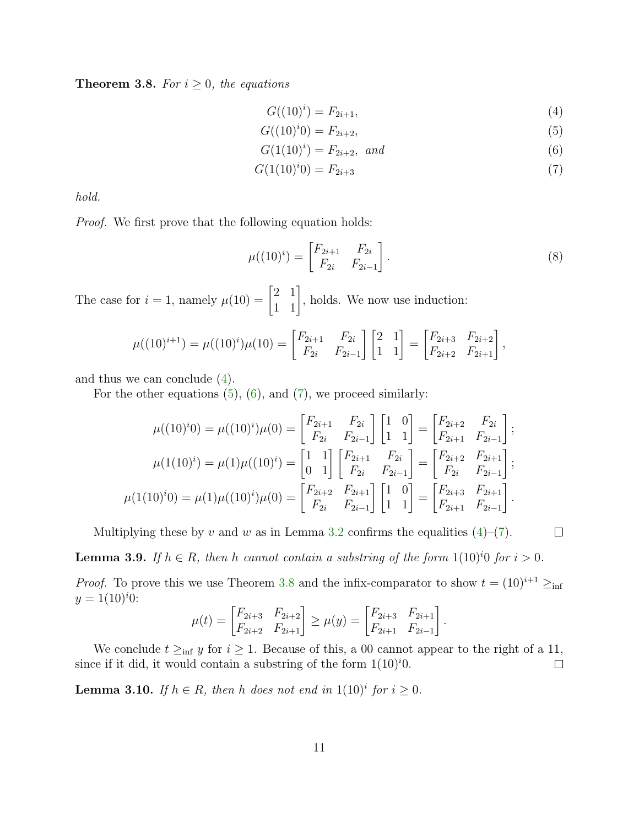<span id="page-10-4"></span>**Theorem 3.8.** For  $i \geq 0$ , the equations

<span id="page-10-3"></span><span id="page-10-2"></span><span id="page-10-1"></span><span id="page-10-0"></span>
$$
G((10)^i) = F_{2i+1},\tag{4}
$$

$$
G((10)^{i}0) = F_{2i+2},
$$
\n(5)

$$
G(1(10)^i) = F_{2i+2}, \text{ and} \tag{6}
$$

<span id="page-10-7"></span>
$$
G(1(10)i0) = F2i+3
$$
\n(7)

hold.

Proof. We first prove that the following equation holds:

$$
\mu((10)^i) = \begin{bmatrix} F_{2i+1} & F_{2i} \\ F_{2i} & F_{2i-1} \end{bmatrix} .
$$
\n(8)

 $\Box$ 

The case for  $i = 1$ , namely  $\mu(10) = \begin{bmatrix} 2 & 1 \\ 1 & 1 \end{bmatrix}$ , holds. We now use induction:

$$
\mu((10)^{i+1}) = \mu((10)^i)\mu(10) = \begin{bmatrix} F_{2i+1} & F_{2i} \\ F_{2i} & F_{2i-1} \end{bmatrix} \begin{bmatrix} 2 & 1 \\ 1 & 1 \end{bmatrix} = \begin{bmatrix} F_{2i+3} & F_{2i+2} \\ F_{2i+2} & F_{2i+1} \end{bmatrix},
$$

and thus we can conclude [\(4\)](#page-10-0).

For the other equations  $(5)$ ,  $(6)$ , and  $(7)$ , we proceed similarly:

$$
\mu((10)^{i}) = \mu((10)^{i})\mu(0) = \begin{bmatrix} F_{2i+1} & F_{2i} \\ F_{2i} & F_{2i-1} \end{bmatrix} \begin{bmatrix} 1 & 0 \\ 1 & 1 \end{bmatrix} = \begin{bmatrix} F_{2i+2} & F_{2i} \\ F_{2i+1} & F_{2i-1} \end{bmatrix};
$$

$$
\mu(1(10)^{i}) = \mu(1)\mu((10)^{i}) = \begin{bmatrix} 1 & 1 \\ 0 & 1 \end{bmatrix} \begin{bmatrix} F_{2i+1} & F_{2i} \\ F_{2i} & F_{2i-1} \end{bmatrix} = \begin{bmatrix} F_{2i+2} & F_{2i+1} \\ F_{2i} & F_{2i-1} \end{bmatrix};
$$

$$
\mu(1(10)^{i}) = \mu(1)\mu((10)^{i})\mu(0) = \begin{bmatrix} F_{2i+2} & F_{2i+1} \\ F_{2i} & F_{2i-1} \end{bmatrix} \begin{bmatrix} 1 & 0 \\ 1 & 1 \end{bmatrix} = \begin{bmatrix} F_{2i+3} & F_{2i+1} \\ F_{2i+1} & F_{2i-1} \end{bmatrix}.
$$

Multiplying these by v and w as in Lemma [3.2](#page-8-0) confirms the equalities  $(4)$ – $(7)$ .

<span id="page-10-5"></span>**Lemma 3.9.** If  $h \in R$ , then h cannot contain a substring of the form  $1(10)^{i}0$  for  $i > 0$ .

*Proof.* To prove this we use Theorem [3.8](#page-10-4) and the infix-comparator to show  $t = (10)^{i+1} \geq_{\text{inf}}$  $y = 1(10)^{i}0$ :

$$
\mu(t) = \begin{bmatrix} F_{2i+3} & F_{2i+2} \\ F_{2i+2} & F_{2i+1} \end{bmatrix} \ge \mu(y) = \begin{bmatrix} F_{2i+3} & F_{2i+1} \\ F_{2i+1} & F_{2i-1} \end{bmatrix}.
$$

We conclude  $t \geq_{\text{inf}} y$  for  $i \geq 1$ . Because of this, a 00 cannot appear to the right of a 11, since if it did, it would contain a substring of the form  $1(10)^i0$ .  $\Box$ 

<span id="page-10-6"></span>**Lemma 3.10.** If  $h \in R$ , then h does not end in  $1(10)^i$  for  $i \geq 0$ .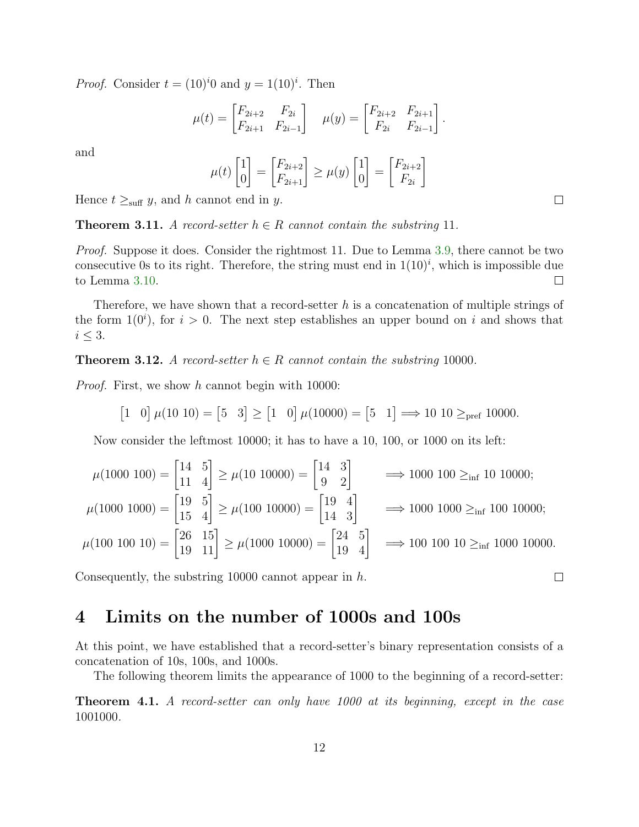*Proof.* Consider  $t = (10)^i 0$  and  $y = 1(10)^i$ . Then

$$
\mu(t) = \begin{bmatrix} F_{2i+2} & F_{2i} \\ F_{2i+1} & F_{2i-1} \end{bmatrix} \quad \mu(y) = \begin{bmatrix} F_{2i+2} & F_{2i+1} \\ F_{2i} & F_{2i-1} \end{bmatrix}.
$$

and

$$
\mu(t)\begin{bmatrix} 1 \\ 0 \end{bmatrix} = \begin{bmatrix} F_{2i+2} \\ F_{2i+1} \end{bmatrix} \ge \mu(y)\begin{bmatrix} 1 \\ 0 \end{bmatrix} = \begin{bmatrix} F_{2i+2} \\ F_{2i} \end{bmatrix}
$$

Hence  $t \geq_{\text{suff}} y$ , and h cannot end in y.

**Theorem 3.11.** A record-setter  $h \in R$  cannot contain the substring 11.

*Proof.* Suppose it does. Consider the rightmost 11. Due to Lemma [3.9,](#page-10-5) there cannot be two consecutive 0s to its right. Therefore, the string must end in  $1(10)^i$ , which is impossible due to Lemma [3.10.](#page-10-6)  $\Box$ 

Therefore, we have shown that a record-setter  $h$  is a concatenation of multiple strings of the form  $1(0<sup>i</sup>)$ , for  $i > 0$ . The next step establishes an upper bound on i and shows that  $i \leq 3$ .

**Theorem 3.12.** A record-setter  $h \in R$  cannot contain the substring 10000.

Proof. First, we show h cannot begin with 10000:

$$
\begin{bmatrix} 1 & 0 \end{bmatrix} \mu(10 \ 10) = \begin{bmatrix} 5 & 3 \end{bmatrix} \ge \begin{bmatrix} 1 & 0 \end{bmatrix} \mu(10000) = \begin{bmatrix} 5 & 1 \end{bmatrix} \Longrightarrow 10 \ 10 \ge_{\text{pref}} 10000.
$$

Now consider the leftmost 10000; it has to have a 10, 100, or 1000 on its left:

$$
\mu(1000\ 100) = \begin{bmatrix} 14 & 5 \\ 11 & 4 \end{bmatrix} \ge \mu(10\ 10000) = \begin{bmatrix} 14 & 3 \\ 9 & 2 \end{bmatrix} \implies 1000\ 100 \ge_{\inf} 10\ 10000;
$$
  

$$
\mu(1000\ 1000) = \begin{bmatrix} 19 & 5 \\ 15 & 4 \end{bmatrix} \ge \mu(100\ 10000) = \begin{bmatrix} 19 & 4 \\ 14 & 3 \end{bmatrix} \implies 1000\ 1000 \ge_{\inf} 100\ 10000;
$$
  

$$
\mu(100\ 100\ 10) = \begin{bmatrix} 26 & 15 \\ 19 & 11 \end{bmatrix} \ge \mu(1000\ 10000) = \begin{bmatrix} 24 & 5 \\ 19 & 4 \end{bmatrix} \implies 100\ 100\ 10 \ge_{\inf} 1000\ 10000.
$$

Consequently, the substring 10000 cannot appear in h.

#### <span id="page-11-0"></span>4 Limits on the number of 1000s and 100s

At this point, we have established that a record-setter's binary representation consists of a concatenation of 10s, 100s, and 1000s.

The following theorem limits the appearance of 1000 to the beginning of a record-setter:

<span id="page-11-1"></span>Theorem 4.1. A record-setter can only have 1000 at its beginning, except in the case 1001000.

 $\Box$ 

 $\Box$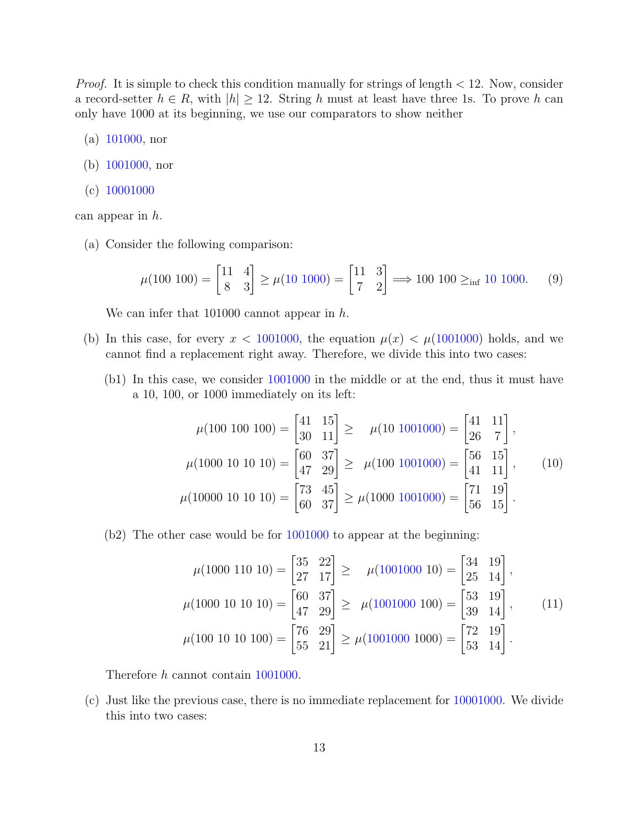*Proof.* It is simple to check this condition manually for strings of length  $\lt 12$ . Now, consider a record-setter  $h \in R$ , with  $|h| \geq 12$ . String h must at least have three 1s. To prove h can only have 1000 at its beginning, we use our comparators to show neither

- (a) 101000, nor
- (b) 1001000, nor
- (c) 10001000

can appear in h.

(a) Consider the following comparison:

$$
\mu(100\ 100) = \begin{bmatrix} 11 & 4 \\ 8 & 3 \end{bmatrix} \ge \mu(10\ 1000) = \begin{bmatrix} 11 & 3 \\ 7 & 2 \end{bmatrix} \Longrightarrow 100\ 100 \ge_{\inf} 10\ 1000. \tag{9}
$$

We can infer that 101000 cannot appear in h.

- (b) In this case, for every  $x < 1001000$ , the equation  $\mu(x) < \mu(1001000)$  holds, and we cannot find a replacement right away. Therefore, we divide this into two cases:
	- (b1) In this case, we consider 1001000 in the middle or at the end, thus it must have a 10, 100, or 1000 immediately on its left:

$$
\mu(100\ 100\ 100) = \begin{bmatrix} 41 & 15 \\ 30 & 11 \end{bmatrix} \ge \mu(10\ 1001000) = \begin{bmatrix} 41 & 11 \\ 26 & 7 \end{bmatrix},
$$

$$
\mu(1000\ 10\ 10\ 10) = \begin{bmatrix} 60 & 37 \\ 47 & 29 \end{bmatrix} \ge \mu(100\ 1001000) = \begin{bmatrix} 56 & 15 \\ 41 & 11 \end{bmatrix}, \qquad (10)
$$

$$
\mu(10000\ 10\ 10\ 10) = \begin{bmatrix} 73 & 45 \\ 60 & 37 \end{bmatrix} \ge \mu(1000\ 1001000) = \begin{bmatrix} 71 & 19 \\ 56 & 15 \end{bmatrix}.
$$

(b2) The other case would be for 1001000 to appear at the beginning:

$$
\mu(1000 \ 110 \ 10) = \begin{bmatrix} 35 & 22 \\ 27 & 17 \end{bmatrix} \ge \mu(1001000 \ 10) = \begin{bmatrix} 34 & 19 \\ 25 & 14 \end{bmatrix},
$$

$$
\mu(1000 \ 10 \ 10 \ 10) = \begin{bmatrix} 60 & 37 \\ 47 & 29 \end{bmatrix} \ge \mu(1001000 \ 100) = \begin{bmatrix} 53 & 19 \\ 39 & 14 \end{bmatrix}, \qquad (11)
$$

$$
\mu(100 \ 10 \ 10 \ 100) = \begin{bmatrix} 76 & 29 \\ 55 & 21 \end{bmatrix} \ge \mu(1001000 \ 1000) = \begin{bmatrix} 72 & 19 \\ 53 & 14 \end{bmatrix}.
$$

Therefore h cannot contain 1001000.

(c) Just like the previous case, there is no immediate replacement for 10001000. We divide this into two cases: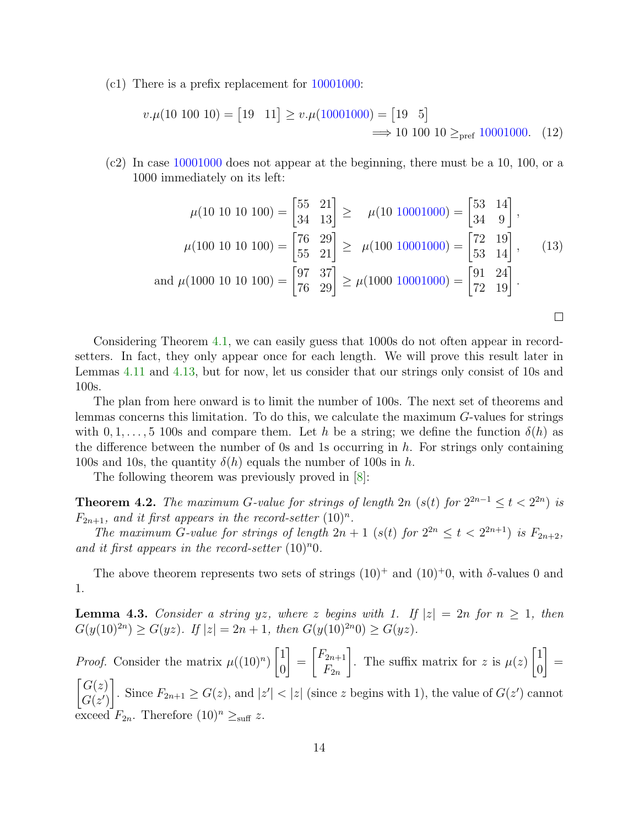(c1) There is a prefix replacement for 10001000:

$$
v.\mu(10\ 100\ 10) = [19\ 11] \ge v.\mu(10001000) = [19\ 5]
$$
\n
$$
\implies 10\ 100\ 10 \ge_{\text{pref}} 10001000. \quad (12)
$$

(c2) In case 10001000 does not appear at the beginning, there must be a 10, 100, or a 1000 immediately on its left:

$$
\mu(10\ 10\ 10\ 100) = \begin{bmatrix} 55 & 21 \\ 34 & 13 \end{bmatrix} \ge \mu(10\ 10001000) = \begin{bmatrix} 53 & 14 \\ 34 & 9 \end{bmatrix},
$$

$$
\mu(100\ 10\ 10\ 100) = \begin{bmatrix} 76 & 29 \\ 55 & 21 \end{bmatrix} \ge \mu(100\ 10001000) = \begin{bmatrix} 72 & 19 \\ 53 & 14 \end{bmatrix}, \quad (13)
$$
and 
$$
\mu(1000\ 10\ 10\ 100) = \begin{bmatrix} 97 & 37 \\ 76 & 29 \end{bmatrix} \ge \mu(1000\ 10001000) = \begin{bmatrix} 91 & 24 \\ 72 & 19 \end{bmatrix}.
$$

 $\Box$ 

Considering Theorem [4.1,](#page-11-1) we can easily guess that 1000s do not often appear in recordsetters. In fact, they only appear once for each length. We will prove this result later in Lemmas [4.11](#page-17-0) and [4.13,](#page-18-0) but for now, let us consider that our strings only consist of 10s and 100s.

The plan from here onward is to limit the number of 100s. The next set of theorems and lemmas concerns this limitation. To do this, we calculate the maximum G-values for strings with  $0, 1, \ldots, 5$  100s and compare them. Let h be a string; we define the function  $\delta(h)$  as the difference between the number of 0s and 1s occurring in  $h$ . For strings only containing 100s and 10s, the quantity  $\delta(h)$  equals the number of 100s in h.

The following theorem was previously proved in [\[8\]](#page-24-1):

<span id="page-13-1"></span>**Theorem 4.2.** The maximum G-value for strings of length 2n (s(t) for  $2^{2n-1} \le t < 2^{2n}$ ) is  $F_{2n+1}$ , and it first appears in the record-setter  $(10)^n$ .

The maximum G-value for strings of length  $2n + 1$  (s(t) for  $2^{2n} \le t < 2^{2n+1}$ ) is  $F_{2n+2}$ , and it first appears in the record-setter  $(10)^n0$ .

The above theorem represents two sets of strings  $(10)^+$  and  $(10)^+0$ , with  $\delta$ -values 0 and 1.

<span id="page-13-0"></span>**Lemma 4.3.** Consider a string yz, where z begins with 1. If  $|z| = 2n$  for  $n \ge 1$ , then  $G(y(10)^{2n}) \ge G(yz)$ . If  $|z| = 2n + 1$ , then  $G(y(10)^{2n}0) \ge G(yz)$ .

*Proof.* Consider the matrix  $\mu((10)^n)$  $\lceil 1 \rceil$ 0 1 =  $\lceil F_{2n+1} \rceil$  $F_{2n}$ 1 . The suffix matrix for z is  $\mu(z)$  $\lceil 1 \rceil$ 0 1 =  $\lceil G(z) \rceil$  $G(z')$ 1 . Since  $F_{2n+1} \ge G(z)$ , and  $|z'| < |z|$  (since z begins with 1), the value of  $G(z')$  cannot exceed  $F_{2n}$ . Therefore  $(10)^n \geq_{\text{suff}} z$ .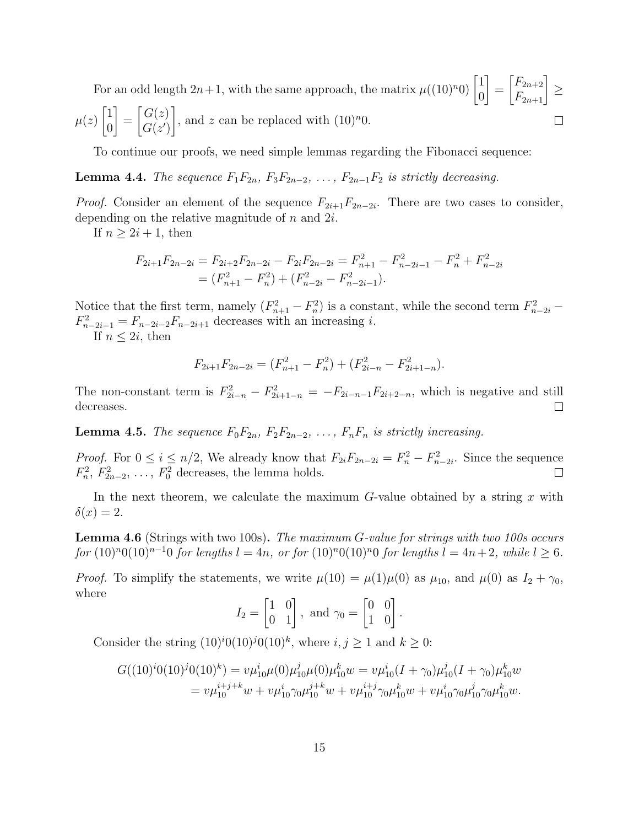For an odd length  $2n+1$ , with the same approach, the matrix  $\mu((10)^n0)\begin{bmatrix} 1\\ 0 \end{bmatrix}$ 1  $\begin{bmatrix} F_{2n+2} \\ F_{2n+1} \end{bmatrix}$ = ≥ 0  $\lceil 1 \rceil$ 1  $\lceil G(z) \rceil$ , and z can be replaced with  $(10)^n0$ .  $\mu(z)$ =  $\Box$  $G(z')$ 0

To continue our proofs, we need simple lemmas regarding the Fibonacci sequence:

<span id="page-14-0"></span>**Lemma 4.4.** The sequence  $F_1F_{2n}$ ,  $F_3F_{2n-2}$ , ...,  $F_{2n-1}F_2$  is strictly decreasing.

*Proof.* Consider an element of the sequence  $F_{2i+1}F_{2n-2i}$ . There are two cases to consider, depending on the relative magnitude of  $n$  and  $2i$ .

If  $n \geq 2i + 1$ , then

$$
F_{2i+1}F_{2n-2i} = F_{2i+2}F_{2n-2i} - F_{2i}F_{2n-2i} = F_{n+1}^2 - F_{n-2i-1}^2 - F_n^2 + F_{n-2i}^2
$$
  
=  $(F_{n+1}^2 - F_n^2) + (F_{n-2i}^2 - F_{n-2i-1}^2).$ 

Notice that the first term, namely  $(F_{n+1}^2 - F_n^2)$  is a constant, while the second term  $F_{n-2i}^2$  –  $F_{n-2i-1}^2 = F_{n-2i-2}F_{n-2i+1}$  decreases with an increasing *i*.

If  $n \leq 2i$ , then

$$
F_{2i+1}F_{2n-2i} = (F_{n+1}^2 - F_n^2) + (F_{2i-n}^2 - F_{2i+1-n}^2).
$$

The non-constant term is  $F_{2i-n}^2 - F_{2i+1-n}^2 = -F_{2i-n-1}F_{2i+2-n}$ , which is negative and still decreases.  $\Box$ 

<span id="page-14-1"></span>**Lemma 4.5.** The sequence  $F_0F_{2n}$ ,  $F_2F_{2n-2}$ , ...,  $F_nF_n$  is strictly increasing.

*Proof.* For  $0 \le i \le n/2$ , We already know that  $F_{2i}F_{2n-2i} = F_n^2 - F_{n-2i}^2$ . Since the sequence  $F_n^2$ ,  $F_{2n-2}^2$ , ...,  $F_0^2$  decreases, the lemma holds.  $\Box$ 

In the next theorem, we calculate the maximum  $G$ -value obtained by a string x with  $\delta(x) = 2.$ 

<span id="page-14-2"></span>Lemma 4.6 (Strings with two 100s). The maximum G-value for strings with two 100s occurs for  $(10)^{n}0(10)^{n-1}0$  for lengths  $l = 4n$ , or for  $(10)^{n}0(10)^{n}0$  for lengths  $l = 4n + 2$ , while  $l \ge 6$ .

*Proof.* To simplify the statements, we write  $\mu(10) = \mu(1)\mu(0)$  as  $\mu_{10}$ , and  $\mu(0)$  as  $I_2 + \gamma_0$ , where

$$
I_2 = \begin{bmatrix} 1 & 0 \\ 0 & 1 \end{bmatrix}, \text{ and } \gamma_0 = \begin{bmatrix} 0 & 0 \\ 1 & 0 \end{bmatrix}.
$$

Consider the string  $(10)^i 0(10)^j 0(10)^k$ , where  $i, j \ge 1$  and  $k \ge 0$ :

$$
G((10)^{i}0(10)^{j}0(10)^{k}) = v\mu_{10}^{i}\mu(0)\mu_{10}^{j}\mu(0)\mu_{10}^{k}w = v\mu_{10}^{i}(I + \gamma_{0})\mu_{10}^{j}(I + \gamma_{0})\mu_{10}^{k}w
$$
  
=  $v\mu_{10}^{i+j+k}w + v\mu_{10}^{i}\gamma_{0}\mu_{10}^{j+k}w + v\mu_{10}^{i+j}\gamma_{0}\mu_{10}^{k}w + v\mu_{10}^{i}\gamma_{0}\mu_{10}^{j}\gamma_{0}\mu_{10}^{k}w.$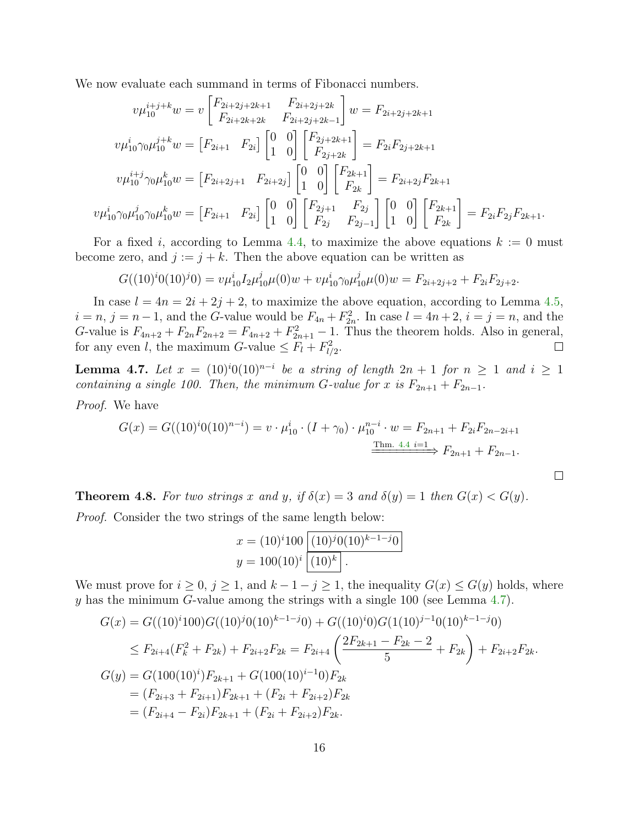We now evaluate each summand in terms of Fibonacci numbers.

$$
v\mu_{10}^{i+j+k}w = v \begin{bmatrix} F_{2i+2j+2k+1} & F_{2i+2j+2k} \\ F_{2i+2k+2k} & F_{2i+2j+2k-1} \end{bmatrix} w = F_{2i+2j+2k+1}
$$

$$
v\mu_{10}^{i} \gamma_0 \mu_{10}^{j+k} w = \begin{bmatrix} F_{2i+1} & F_{2i} \end{bmatrix} \begin{bmatrix} 0 & 0 \\ 1 & 0 \end{bmatrix} \begin{bmatrix} F_{2j+2k+1} \\ F_{2j+2k} \end{bmatrix} = F_{2i} F_{2j+2k+1}
$$

$$
v\mu_{10}^{i+j} \gamma_0 \mu_{10}^{k} w = \begin{bmatrix} F_{2i+2j+1} & F_{2i+2j} \end{bmatrix} \begin{bmatrix} 0 & 0 \\ 1 & 0 \end{bmatrix} \begin{bmatrix} F_{2k+1} \\ F_{2k} \end{bmatrix} = F_{2i+2j} F_{2k+1}
$$

$$
v\mu_{10}^{i} \gamma_0 \mu_{10}^{j} \gamma_0 \mu_{10}^{k} w = \begin{bmatrix} F_{2i+1} & F_{2i} \end{bmatrix} \begin{bmatrix} 0 & 0 \\ 1 & 0 \end{bmatrix} \begin{bmatrix} F_{2j+1} & F_{2j} \\ F_{2j} & F_{2j-1} \end{bmatrix} \begin{bmatrix} 0 & 0 \\ 1 & 0 \end{bmatrix} \begin{bmatrix} F_{2k+1} \\ F_{2k} \end{bmatrix} = F_{2i} F_{2j} F_{2k+1}.
$$

For a fixed i, according to Lemma [4.4,](#page-14-0) to maximize the above equations  $k := 0$  must become zero, and  $j := j + k$ . Then the above equation can be written as

$$
G((10)^{i}(10)^{j}(0)) = v\mu_{10}^{i}I_{2}\mu_{10}^{j}\mu(0)w + v\mu_{10}^{i}\gamma_{0}\mu_{10}^{j}\mu(0)w = F_{2i+2j+2} + F_{2i}F_{2j+2}.
$$

In case  $l = 4n = 2i + 2j + 2$ , to maximize the above equation, according to Lemma [4.5,](#page-14-1)  $i = n, j = n - 1$ , and the G-value would be  $F_{4n} + F_{2n}^2$ . In case  $l = 4n + 2$ ,  $i = j = n$ , and the G-value is  $F_{4n+2} + F_{2n}F_{2n+2} = F_{4n+2} + F_{2n+1}^2 - 1$ . Thus the theorem holds. Also in general, for any even l, the maximum G-value  $\leq F_l + F_{l/2}^2$ .

<span id="page-15-0"></span>**Lemma 4.7.** Let  $x = (10)^i 0(10)^{n-i}$  be a string of length  $2n + 1$  for  $n \ge 1$  and  $i \ge 1$ containing a single 100. Then, the minimum G-value for x is  $F_{2n+1} + F_{2n-1}$ .

Proof. We have

$$
G(x) = G((10)^{i}0(10)^{n-i}) = v \cdot \mu_{10}^{i} \cdot (I + \gamma_0) \cdot \mu_{10}^{n-i} \cdot w = F_{2n+1} + F_{2i}F_{2n-2i+1}
$$

$$
\xrightarrow{\text{Thm. 4.4 i = 1}} F_{2n+1} + F_{2n-1}.
$$

 $\Box$ 

<span id="page-15-1"></span>**Theorem 4.8.** For two strings x and y, if  $\delta(x) = 3$  and  $\delta(y) = 1$  then  $G(x) < G(y)$ . Proof. Consider the two strings of the same length below:

$$
x = (10)^{i} 100 \overline{ (10)^{j} 0 (10)^{k-1-j} 0}
$$
  

$$
y = 100(10)^{i} \overline{ (10)^{k}}.
$$

We must prove for  $i \geq 0$ ,  $j \geq 1$ , and  $k-1-j \geq 1$ , the inequality  $G(x) \leq G(y)$  holds, where y has the minimum G-value among the strings with a single 100 (see Lemma  $4.7$ ).

$$
G(x) = G((10)^{i}100)G((10)^{j}0(10)^{k-1-j}0) + G((10)^{i}0)G(1(10)^{j-1}0(10)^{k-1-j}0)
$$
  
\n
$$
\leq F_{2i+4}(F_{k}^{2} + F_{2k}) + F_{2i+2}F_{2k} = F_{2i+4}\left(\frac{2F_{2k+1} - F_{2k} - 2}{5} + F_{2k}\right) + F_{2i+2}F_{2k}.
$$
  
\n
$$
G(y) = G(100(10)^{i})F_{2k+1} + G(100(10)^{i-1}0)F_{2k}
$$
  
\n
$$
= (F_{2i+3} + F_{2i+1})F_{2k+1} + (F_{2i} + F_{2i+2})F_{2k}
$$
  
\n
$$
= (F_{2i+4} - F_{2i})F_{2k+1} + (F_{2i} + F_{2i+2})F_{2k}.
$$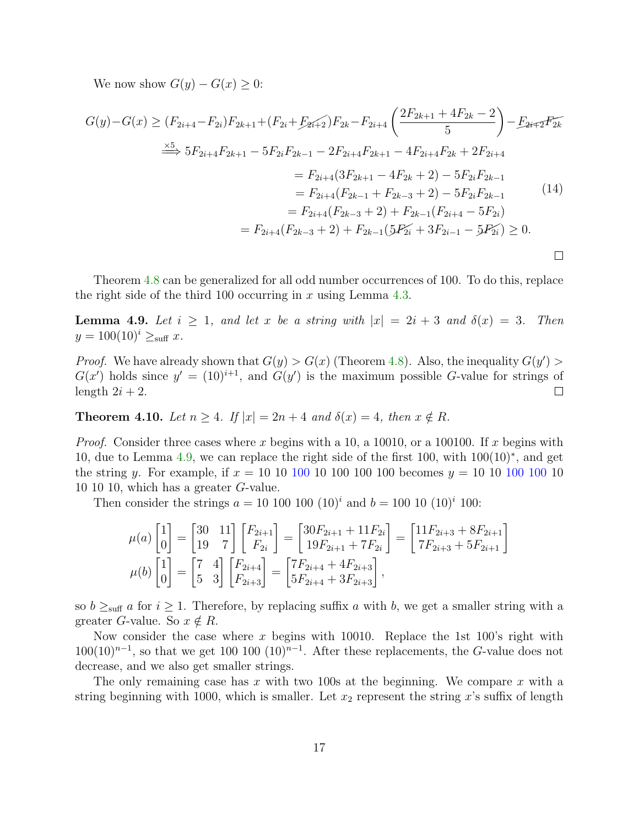We now show  $G(y) - G(x) \geq 0$ :

$$
G(y) - G(x) \ge (F_{2i+4} - F_{2i})F_{2k+1} + (F_{2i} + F_{2i+2})F_{2k} - F_{2i+4}\left(\frac{2F_{2k+1} + 4F_{2k} - 2}{5}\right) - F_{2i+2}F_{2k}
$$
  
\n
$$
\stackrel{\times 5}{\Longrightarrow} 5F_{2i+4}F_{2k+1} - 5F_{2i}F_{2k-1} - 2F_{2i+4}F_{2k+1} - 4F_{2i+4}F_{2k} + 2F_{2i+4}
$$
  
\n
$$
= F_{2i+4}(3F_{2k+1} - 4F_{2k} + 2) - 5F_{2i}F_{2k-1}
$$
  
\n
$$
= F_{2i+4}(F_{2k-1} + F_{2k-3} + 2) - 5F_{2i}F_{2k-1}
$$
  
\n
$$
= F_{2i+4}(F_{2k-3} + 2) + F_{2k-1}(F_{2i+4} - 5F_{2i})
$$
  
\n
$$
= F_{2i+4}(F_{2k-3} + 2) + F_{2k-1}(5F_{2i} + 3F_{2i-1} - 5F_{2i}) \ge 0.
$$

Theorem [4.8](#page-15-1) can be generalized for all odd number occurrences of 100. To do this, replace the right side of the third 100 occurring in x using Lemma [4.3.](#page-13-0)

<span id="page-16-0"></span>**Lemma 4.9.** Let  $i \geq 1$ , and let x be a string with  $|x| = 2i + 3$  and  $\delta(x) = 3$ . Then  $y = 100(10)^i \geq_{\text{suffix}} x$ .

*Proof.* We have already shown that  $G(y) > G(x)$  (Theorem [4.8\)](#page-15-1). Also, the inequality  $G(y')$  $G(x')$  holds since  $y' = (10)^{i+1}$ , and  $G(y')$  is the maximum possible G-value for strings of length  $2i + 2$ .  $\Box$ 

<span id="page-16-1"></span>**Theorem 4.10.** Let  $n \geq 4$ . If  $|x| = 2n + 4$  and  $\delta(x) = 4$ , then  $x \notin R$ .

*Proof.* Consider three cases where x begins with a 10, a 10010, or a 100100. If x begins with 10, due to Lemma [4.9,](#page-16-0) we can replace the right side of the first 100, with 100(10)<sup>∗</sup> , and get the string y. For example, if  $x = 10 \; 10 \; 100 \; 100 \; 100 \; 100$  becomes  $y = 10 \; 10 \; 100 \; 100 \; 100$ 10 10 10, which has a greater G-value.

Then consider the strings  $a = 10 \ 100 \ 100 \ (10)^i$  and  $b = 100 \ 10 \ (10)^i \ 100$ :

$$
\mu(a) \begin{bmatrix} 1 \\ 0 \end{bmatrix} = \begin{bmatrix} 30 & 11 \\ 19 & 7 \end{bmatrix} \begin{bmatrix} F_{2i+1} \\ F_{2i} \end{bmatrix} = \begin{bmatrix} 30F_{2i+1} + 11F_{2i} \\ 19F_{2i+1} + 7F_{2i} \end{bmatrix} = \begin{bmatrix} 11F_{2i+3} + 8F_{2i+1} \\ 7F_{2i+3} + 5F_{2i+1} \end{bmatrix}
$$

$$
\mu(b) \begin{bmatrix} 1 \\ 0 \end{bmatrix} = \begin{bmatrix} 7 & 4 \\ 5 & 3 \end{bmatrix} \begin{bmatrix} F_{2i+4} \\ F_{2i+3} \end{bmatrix} = \begin{bmatrix} 7F_{2i+4} + 4F_{2i+3} \\ 5F_{2i+4} + 3F_{2i+3} \end{bmatrix},
$$

so  $b \geq_{\text{surf}} a$  for  $i \geq 1$ . Therefore, by replacing suffix a with b, we get a smaller string with a greater *G*-value. So  $x \notin R$ .

Now consider the case where x begins with 10010. Replace the 1st 100's right with  $100(10)^{n-1}$ , so that we get 100 100  $(10)^{n-1}$ . After these replacements, the G-value does not decrease, and we also get smaller strings.

The only remaining case has x with two 100s at the beginning. We compare x with a string beginning with 1000, which is smaller. Let  $x_2$  represent the string x's suffix of length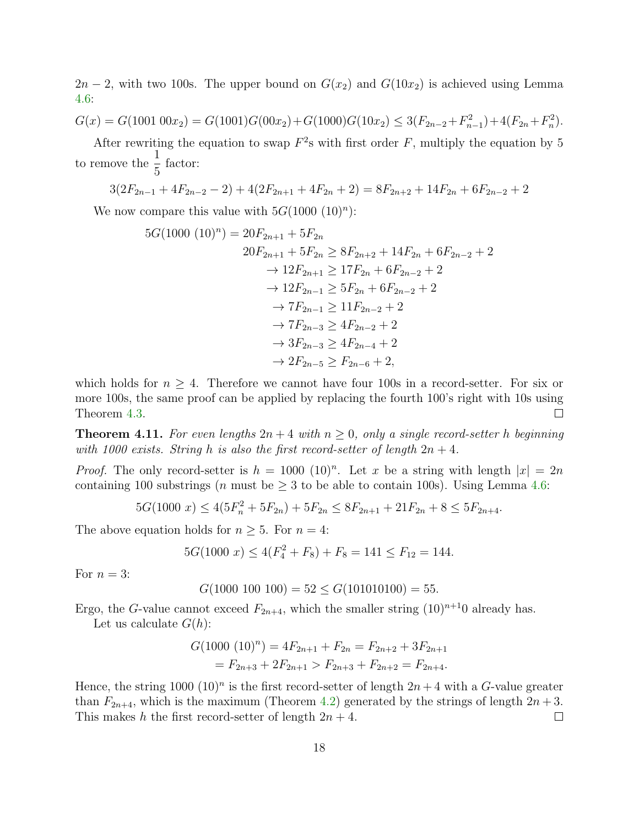$2n-2$ , with two 100s. The upper bound on  $G(x_2)$  and  $G(10x_2)$  is achieved using Lemma [4.6:](#page-14-2)

$$
G(x) = G(1001\ 00x_2) = G(1001)G(00x_2) + G(1000)G(10x_2) \le 3(F_{2n-2} + F_{n-1}^2) + 4(F_{2n} + F_n^2).
$$

After rewriting the equation to swap  $F^2$ s with first order F, multiply the equation by 5 to remove the  $\frac{1}{5}$ 5 factor:

$$
3(2F_{2n-1} + 4F_{2n-2} - 2) + 4(2F_{2n+1} + 4F_{2n} + 2) = 8F_{2n+2} + 14F_{2n} + 6F_{2n-2} + 2
$$

We now compare this value with  $5G(1000 (10)^n)$ :

$$
5G(1000 (10)n) = 20F_{2n+1} + 5F_{2n}
$$
  
\n
$$
20F_{2n+1} + 5F_{2n} \ge 8F_{2n+2} + 14F_{2n} + 6F_{2n-2} + 2
$$
  
\n
$$
\rightarrow 12F_{2n+1} \ge 17F_{2n} + 6F_{2n-2} + 2
$$
  
\n
$$
\rightarrow 12F_{2n-1} \ge 5F_{2n} + 6F_{2n-2} + 2
$$
  
\n
$$
\rightarrow 7F_{2n-1} \ge 11F_{2n-2} + 2
$$
  
\n
$$
\rightarrow 7F_{2n-3} \ge 4F_{2n-2} + 2
$$
  
\n
$$
\rightarrow 3F_{2n-3} \ge 4F_{2n-4} + 2
$$
  
\n
$$
\rightarrow 2F_{2n-5} \ge F_{2n-6} + 2,
$$

which holds for  $n \geq 4$ . Therefore we cannot have four 100s in a record-setter. For six or more 100s, the same proof can be applied by replacing the fourth 100's right with 10s using Theorem [4.3.](#page-13-0)  $\Box$ 

<span id="page-17-0"></span>**Theorem 4.11.** For even lengths  $2n + 4$  with  $n \ge 0$ , only a single record-setter h beginning with 1000 exists. String h is also the first record-setter of length  $2n + 4$ .

*Proof.* The only record-setter is  $h = 1000$  (10)<sup>n</sup>. Let x be a string with length  $|x| = 2n$ containing 100 substrings (*n* must be  $\geq$  3 to be able to contain 100s). Using Lemma [4.6:](#page-14-2)

$$
5G(1000 x) \le 4(5F_n^2 + 5F_{2n}) + 5F_{2n} \le 8F_{2n+1} + 21F_{2n} + 8 \le 5F_{2n+4}.
$$

The above equation holds for  $n \geq 5$ . For  $n = 4$ :

$$
5G(1000 x) \le 4(F_4^2 + F_8) + F_8 = 141 \le F_{12} = 144.
$$

For  $n = 3$ :

$$
G(1000\ 100\ 100) = 52 \le G(101010100) = 55.
$$

Ergo, the G-value cannot exceed  $F_{2n+4}$ , which the smaller string  $(10)^{n+1}$ 0 already has.

Let us calculate  $G(h)$ :

$$
G(1000 (10)n) = 4F2n+1 + F2n = F2n+2 + 3F2n+1
$$
  
= F<sub>2n+3</sub> + 2F<sub>2n+1</sub> > F<sub>2n+3</sub> + F<sub>2n+2</sub> = F<sub>2n+4</sub>.

Hence, the string 1000  $(10)^n$  is the first record-setter of length  $2n + 4$  with a G-value greater than  $F_{2n+4}$ , which is the maximum (Theorem [4.2\)](#page-13-1) generated by the strings of length  $2n+3$ . This makes h the first record-setter of length  $2n + 4$ .  $\Box$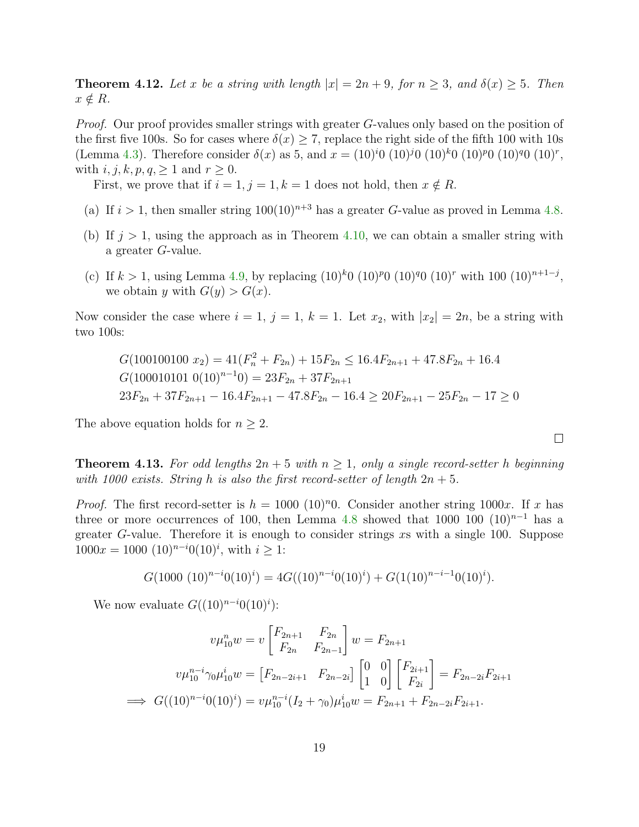**Theorem 4.12.** Let x be a string with length  $|x| = 2n + 9$ , for  $n \ge 3$ , and  $\delta(x) \ge 5$ . Then  $x \notin R$ .

*Proof.* Our proof provides smaller strings with greater G-values only based on the position of the first five 100s. So for cases where  $\delta(x) \ge 7$ , replace the right side of the fifth 100 with 10s (Lemma [4.3\)](#page-13-0). Therefore consider  $\delta(x)$  as 5, and  $x = (10)^{i}0 (10)^{j}0 (10)^{k}0 (10)^{p}0 (10)^{q}0 (10)^{r}$ , with  $i, j, k, p, q, \geq 1$  and  $r \geq 0$ .

First, we prove that if  $i = 1, j = 1, k = 1$  does not hold, then  $x \notin R$ .

- (a) If  $i > 1$ , then smaller string  $100(10)^{n+3}$  has a greater G-value as proved in Lemma [4.8.](#page-15-1)
- (b) If  $j > 1$ , using the approach as in Theorem [4.10,](#page-16-1) we can obtain a smaller string with a greater G-value.
- (c) If  $k > 1$ , using Lemma [4.9,](#page-16-0) by replacing  $(10)^{k}0$   $(10)^{p}0$   $(10)^{q}0$   $(10)^{r}$  with  $100$   $(10)^{n+1-j}$ , we obtain y with  $G(y) > G(x)$ .

Now consider the case where  $i = 1, j = 1, k = 1$ . Let  $x_2$ , with  $|x_2| = 2n$ , be a string with two 100s:

$$
G(100100100 x_2) = 41(F_n^2 + F_{2n}) + 15F_{2n} \le 16.4F_{2n+1} + 47.8F_{2n} + 16.4
$$
  
\n
$$
G(100010101 0(10)^{n-1}0) = 23F_{2n} + 37F_{2n+1}
$$
  
\n
$$
23F_{2n} + 37F_{2n+1} - 16.4F_{2n+1} - 47.8F_{2n} - 16.4 \ge 20F_{2n+1} - 25F_{2n} - 17 \ge 0
$$

The above equation holds for  $n \geq 2$ .

<span id="page-18-0"></span>**Theorem 4.13.** For odd lengths  $2n + 5$  with  $n \ge 1$ , only a single record-setter h beginning with 1000 exists. String h is also the first record-setter of length  $2n + 5$ .

 $\Box$ 

*Proof.* The first record-setter is  $h = 1000 \ (10)^n 0$ . Consider another string 1000x. If x has three or more occurrences of 100, then Lemma [4.8](#page-15-1) showed that 1000 100  $(10)^{n-1}$  has a greater G-value. Therefore it is enough to consider strings xs with a single 100. Suppose  $1000x = 1000 \ (10)^{n-i}0(10)^i$ , with  $i \geq 1$ :

$$
G(1000 \ (10)^{n-i}0(10)^i) = 4G((10)^{n-i}0(10)^i) + G(1(10)^{n-i-1}0(10)^i).
$$

We now evaluate  $G((10)^{n-i}0(10)^i)$ :

$$
v\mu_{10}^n w = v \begin{bmatrix} F_{2n+1} & F_{2n} \\ F_{2n} & F_{2n-1} \end{bmatrix} w = F_{2n+1}
$$

$$
v\mu_{10}^{n-i} \gamma_0 \mu_{10}^i w = \begin{bmatrix} F_{2n-2i+1} & F_{2n-2i} \end{bmatrix} \begin{bmatrix} 0 & 0 \\ 1 & 0 \end{bmatrix} \begin{bmatrix} F_{2i+1} \\ F_{2i} \end{bmatrix} = F_{2n-2i} F_{2i+1}
$$

$$
\implies G((10)^{n-i} 0(10)^i) = v\mu_{10}^{n-i} (I_2 + \gamma_0) \mu_{10}^i w = F_{2n+1} + F_{2n-2i} F_{2i+1}.
$$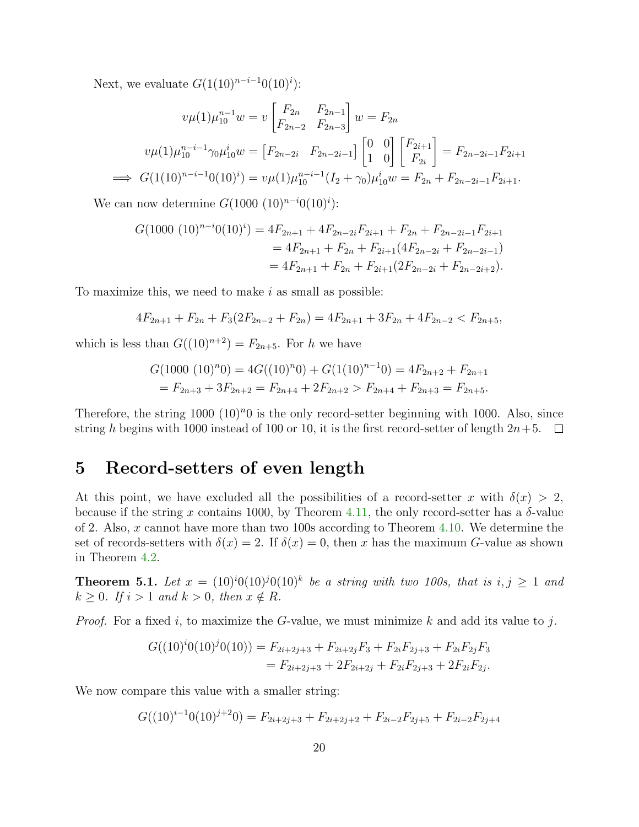Next, we evaluate  $G(1(10)^{n-i-1}0(10)^i)$ :

$$
v\mu(1)\mu_{10}^{n-1}w = v \begin{bmatrix} F_{2n} & F_{2n-1} \\ F_{2n-2} & F_{2n-3} \end{bmatrix} w = F_{2n}
$$

$$
v\mu(1)\mu_{10}^{n-i-1}\gamma_0\mu_{10}^i w = \begin{bmatrix} F_{2n-2i} & F_{2n-2i-1} \end{bmatrix} \begin{bmatrix} 0 & 0 \\ 1 & 0 \end{bmatrix} \begin{bmatrix} F_{2i+1} \\ F_{2i} \end{bmatrix} = F_{2n-2i-1}F_{2i+1}
$$

$$
\implies G(1(10)^{n-i-1}0(10)^i) = v\mu(1)\mu_{10}^{n-i-1}(I_2 + \gamma_0)\mu_{10}^i w = F_{2n} + F_{2n-2i-1}F_{2i+1}.
$$

We can now determine  $G(1000 (10)^{n-i}0(10)^i)$ :

$$
G(1000 (10)^{n-i}0(10)^i) = 4F_{2n+1} + 4F_{2n-2i}F_{2i+1} + F_{2n} + F_{2n-2i-1}F_{2i+1}
$$
  
= 
$$
4F_{2n+1} + F_{2n} + F_{2i+1}(4F_{2n-2i} + F_{2n-2i-1})
$$
  
= 
$$
4F_{2n+1} + F_{2n} + F_{2i+1}(2F_{2n-2i} + F_{2n-2i+2}).
$$

To maximize this, we need to make  $i$  as small as possible:

$$
4F_{2n+1} + F_{2n} + F_3(2F_{2n-2} + F_{2n}) = 4F_{2n+1} + 3F_{2n} + 4F_{2n-2} < F_{2n+5},
$$

which is less than  $G((10)^{n+2}) = F_{2n+5}$ . For h we have

$$
G(1000 (10)n0) = 4G((10)n0) + G(1(10)n-10) = 4F2n+2 + F2n+1
$$
  
= F<sub>2n+3</sub> + 3F<sub>2n+2</sub> = F<sub>2n+4</sub> + 2F<sub>2n+2</sub> > F<sub>2n+4</sub> + F<sub>2n+3</sub> = F<sub>2n+5</sub>.

Therefore, the string  $1000 (10)^n$  is the only record-setter beginning with 1000. Also, since string h begins with 1000 instead of 100 or 10, it is the first record-setter of length  $2n+5$ .

# <span id="page-19-0"></span>5 Record-setters of even length

At this point, we have excluded all the possibilities of a record-setter x with  $\delta(x) > 2$ , because if the string x contains 1000, by Theorem [4.11,](#page-17-0) the only record-setter has a  $\delta$ -value of 2. Also, x cannot have more than two 100s according to Theorem [4.10.](#page-16-1) We determine the set of records-setters with  $\delta(x) = 2$ . If  $\delta(x) = 0$ , then x has the maximum G-value as shown in Theorem [4.2.](#page-13-1)

<span id="page-19-1"></span>**Theorem 5.1.** Let  $x = (10)^i 0(10)^j 0(10)^k$  be a string with two 100s, that is  $i, j \ge 1$  and  $k \geq 0$ . If  $i > 1$  and  $k > 0$ , then  $x \notin R$ .

*Proof.* For a fixed i, to maximize the G-value, we must minimize k and add its value to j.

$$
G((10)i0(10)j0(10)) = F2i+2j+3 + F2i+2jF3 + F2iF2j+3 + F2iF2jF3
$$
  
= F<sub>2i+2j+3</sub> + 2F<sub>2i+2j</sub> + F<sub>2i</sub>F<sub>2j+3</sub> + 2F<sub>2i</sub>F<sub>2j</sub>.

We now compare this value with a smaller string:

 $G((10)^{i-1}0(10)^{j+2}0) = F_{2i+2j+3} + F_{2i+2j+2} + F_{2i-2}F_{2j+5} + F_{2i-2}F_{2j+4}$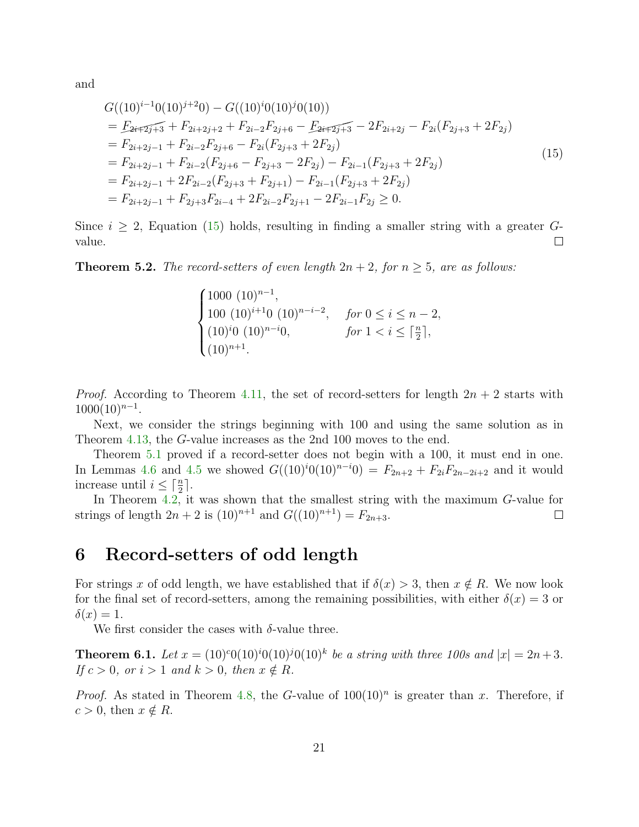and

$$
G((10)^{i-1}0(10)^{j+2}0) - G((10)^{i}0(10)^{j}0(10))
$$
  
\n
$$
= F_{2i+2j+3} + F_{2i+2j+2} + F_{2i-2}F_{2j+6} - F_{2i+2j+3} - 2F_{2i+2j} - F_{2i}(F_{2j+3} + 2F_{2j})
$$
  
\n
$$
= F_{2i+2j-1} + F_{2i-2}F_{2j+6} - F_{2i}(F_{2j+3} + 2F_{2j})
$$
  
\n
$$
= F_{2i+2j-1} + F_{2i-2}(F_{2j+6} - F_{2j+3} - 2F_{2j}) - F_{2i-1}(F_{2j+3} + 2F_{2j})
$$
  
\n
$$
= F_{2i+2j-1} + 2F_{2i-2}(F_{2j+3} + F_{2j+1}) - F_{2i-1}(F_{2j+3} + 2F_{2j})
$$
  
\n
$$
= F_{2i+2j-1} + F_{2j+3}F_{2i-4} + 2F_{2i-2}F_{2j+1} - 2F_{2i-1}F_{2j} \ge 0.
$$
  
\n(15)

Since  $i \geq 2$ , Equation [\(15\)](#page-20-1) holds, resulting in finding a smaller string with a greater Gvalue.  $\Box$ 

<span id="page-20-2"></span>**Theorem 5.2.** The record-setters of even length  $2n + 2$ , for  $n \geq 5$ , are as follows:

<span id="page-20-1"></span>
$$
\begin{cases}\n1000 \ (10)^{n-1}, \n100 \ (10)^{i+1}0 \ (10)^{n-i-2}, & \text{for } 0 \le i \le n-2, \\
(10)^{i}0 \ (10)^{n-i}0, & \text{for } 1 < i \le \lceil \frac{n}{2} \rceil, \\
(10)^{n+1}.\n\end{cases}
$$

*Proof.* According to Theorem [4.11,](#page-17-0) the set of record-setters for length  $2n + 2$  starts with  $1000(10)^{n-1}$ .

Next, we consider the strings beginning with 100 and using the same solution as in Theorem [4.13,](#page-18-0) the G-value increases as the 2nd 100 moves to the end.

Theorem [5.1](#page-19-1) proved if a record-setter does not begin with a 100, it must end in one. In Lemmas [4.6](#page-14-2) and [4.5](#page-14-1) we showed  $G((10)^{i}(10)^{n-i}) = F_{2n+2} + F_{2i}F_{2n-2i+2}$  and it would increase until  $i \leq \lceil \frac{n}{2} \rceil$ .

In Theorem [4.2,](#page-13-1) it was shown that the smallest string with the maximum G-value for strings of length  $2n + 2$  is  $(10)^{n+1}$  and  $G((10)^{n+1}) = F_{2n+3}$ .  $\Box$ 

#### <span id="page-20-0"></span>6 Record-setters of odd length

For strings x of odd length, we have established that if  $\delta(x) > 3$ , then  $x \notin R$ . We now look for the final set of record-setters, among the remaining possibilities, with either  $\delta(x) = 3$  or  $\delta(x) = 1.$ 

We first consider the cases with  $\delta$ -value three.

**Theorem 6.1.** Let  $x = (10)^{c}0(10)^{i}0(10)^{j}0(10)^{k}$  be a string with three 100s and  $|x| = 2n + 3$ . If  $c > 0$ , or  $i > 1$  and  $k > 0$ , then  $x \notin R$ .

*Proof.* As stated in Theorem [4.8,](#page-15-1) the G-value of  $100(10)^n$  is greater than x. Therefore, if  $c > 0$ , then  $x \notin R$ .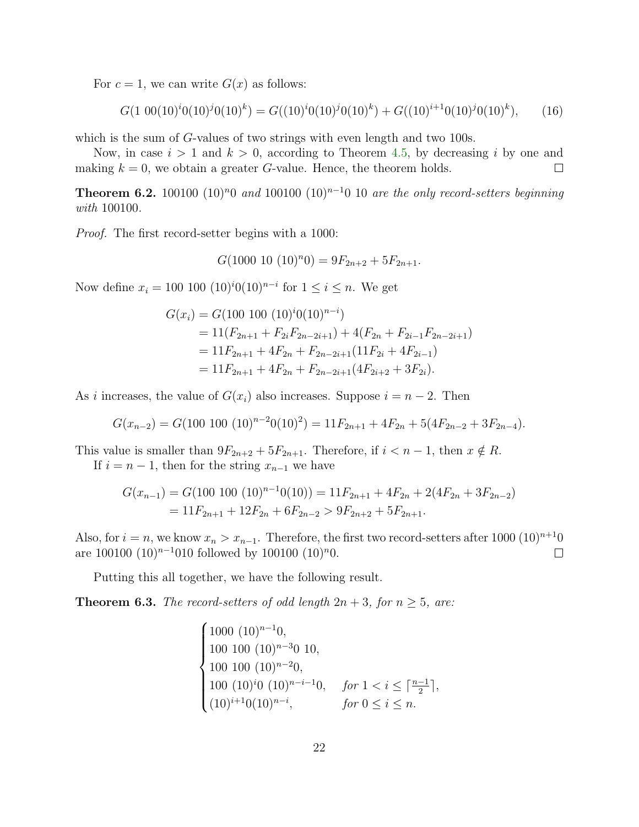For  $c = 1$ , we can write  $G(x)$  as follows:

<span id="page-21-1"></span>
$$
G(1\ 00(10)i0(10)j0(10)k) = G((10)i0(10)j0(10)k) + G((10)i+10(10)j0(10)k), \qquad (16)
$$

which is the sum of G-values of two strings with even length and two 100s.

Now, in case  $i > 1$  and  $k > 0$ , according to Theorem [4.5,](#page-14-1) by decreasing i by one and making  $k = 0$ , we obtain a greater G-value. Hence, the theorem holds.  $\Box$ 

<span id="page-21-0"></span>**Theorem 6.2.** 100100 (10)<sup>n</sup>0 and 100100 (10)<sup>n-1</sup>0 10 are the only record-setters beginning with 100100.

Proof. The first record-setter begins with a 1000:

$$
G(1000 \ 10 \ (10)^n 0) = 9F_{2n+2} + 5F_{2n+1}.
$$

Now define  $x_i = 100 \ 100 \ (10)^i 0(10)^{n-i}$  for  $1 \le i \le n$ . We get

$$
G(x_i) = G(100\ 100\ (10)^i 0(10)^{n-i})
$$
  
= 11(F<sub>2n+1</sub> + F<sub>2i</sub>F<sub>2n-2i+1</sub>) + 4(F<sub>2n</sub> + F<sub>2i-1</sub>F<sub>2n-2i+1</sub>)  
= 11F<sub>2n+1</sub> + 4F<sub>2n</sub> + F<sub>2n-2i+1</sub>(11F<sub>2i</sub> + 4F<sub>2i-1</sub>)  
= 11F<sub>2n+1</sub> + 4F<sub>2n</sub> + F<sub>2n-2i+1</sub>(4F<sub>2i+2</sub> + 3F<sub>2i</sub>).

As i increases, the value of  $G(x_i)$  also increases. Suppose  $i = n - 2$ . Then

$$
G(x_{n-2}) = G(100 \ 100 \ (10)^{n-2}0(10)^2) = 11F_{2n+1} + 4F_{2n} + 5(4F_{2n-2} + 3F_{2n-4}).
$$

This value is smaller than  $9F_{2n+2} + 5F_{2n+1}$ . Therefore, if  $i < n-1$ , then  $x \notin R$ .

If  $i = n - 1$ , then for the string  $x_{n-1}$  we have

$$
G(x_{n-1}) = G(100 \ 100 \ (10)^{n-1}0(10)) = 11F_{2n+1} + 4F_{2n} + 2(4F_{2n} + 3F_{2n-2})
$$
  
= 11F\_{2n+1} + 12F\_{2n} + 6F\_{2n-2} > 9F\_{2n+2} + 5F\_{2n+1}.

Also, for  $i = n$ , we know  $x_n > x_{n-1}$ . Therefore, the first two record-setters after 1000 (10)<sup>n+1</sup>0 are 100100  $(10)^{n-1}$ 010 followed by 100100  $(10)^n$ 0.  $\Box$ 

Putting this all together, we have the following result.

<span id="page-21-2"></span>**Theorem 6.3.** The record-setters of odd length  $2n + 3$ , for  $n \geq 5$ , are:

$$
\begin{cases}\n1000 (10)^{n-1}0, \\
100 100 (10)^{n-3}0 10, \\
100 100 (10)^{n-2}0, \\
100 (10)^{i}0 (10)^{n-i-1}0, \quad \text{for } 1 < i \leq \lceil \frac{n-1}{2} \rceil, \\
(10)^{i+1}0(10)^{n-i}, \quad \text{for } 0 \leq i \leq n.\n\end{cases}
$$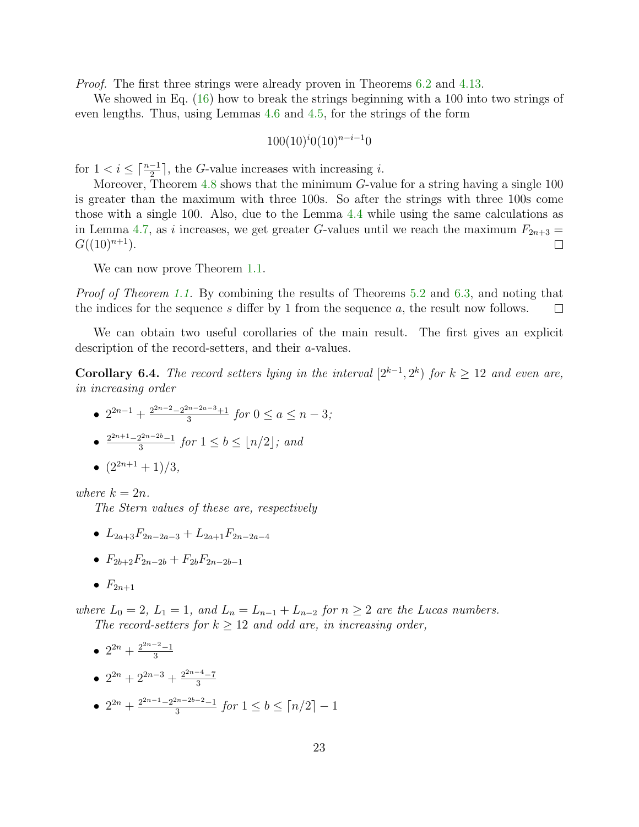*Proof.* The first three strings were already proven in Theorems [6.2](#page-21-0) and [4.13.](#page-18-0)

We showed in Eq. [\(16\)](#page-21-1) how to break the strings beginning with a 100 into two strings of even lengths. Thus, using Lemmas [4.6](#page-14-2) and [4.5,](#page-14-1) for the strings of the form

$$
100(10)^{i}0(10)^{n-i-1}0
$$

for  $1 < i \leq \lceil \frac{n-1}{2} \rceil$ , the G-value increases with increasing *i*.

Moreover, Theorem [4.8](#page-15-1) shows that the minimum G-value for a string having a single 100 is greater than the maximum with three 100s. So after the strings with three 100s come those with a single 100. Also, due to the Lemma [4.4](#page-14-0) while using the same calculations as in Lemma [4.7,](#page-15-0) as i increases, we get greater G-values until we reach the maximum  $F_{2n+3} =$  $G((10)^{n+1}).$  $\Box$ 

We can now prove Theorem [1.1.](#page-2-1)

Proof of Theorem [1.1.](#page-2-1) By combining the results of Theorems [5.2](#page-20-2) and [6.3,](#page-21-2) and noting that the indices for the sequence s differ by 1 from the sequence a, the result now follows.  $\Box$ 

We can obtain two useful corollaries of the main result. The first gives an explicit description of the record-setters, and their a-values.

**Corollary 6.4.** The record setters lying in the interval  $[2^{k-1}, 2^k)$  for  $k \ge 12$  and even are, in increasing order

•  $2^{2n-1} + \frac{2^{2n-2}-2^{2n-2a-3}+1}{3}$  $\frac{5n-2a-3+1}{3}$  for  $0 \le a \le n-3$ ;  $\bullet$   $\frac{2^{2n+1}-2^{2n-2b}-1}{3}$  $\frac{2^{2n-2b}-1}{3}$  for  $1 \leq b \leq \lfloor n/2 \rfloor$ ; and

• 
$$
(2^{2n+1}+1)/3
$$
,

where  $k = 2n$ .

The Stern values of these are, respectively

- $L_{2a+3}F_{2n-2a-3}+L_{2a+1}F_{2n-2a-4}$
- $F_{2b+2}F_{2n-2b} + F_{2b}F_{2n-2b-1}$
- $F_{2n+1}$

where  $L_0 = 2$ ,  $L_1 = 1$ , and  $L_n = L_{n-1} + L_{n-2}$  for  $n \geq 2$  are the Lucas numbers. The record-setters for  $k \geq 12$  and odd are, in increasing order,

\n- \n
$$
2^{2n} + \frac{2^{2n-2}-1}{3}
$$
\n
\n- \n
$$
2^{2n} + 2^{2n-3} + \frac{2^{2n-4}-7}{3}
$$
\n
\n- \n
$$
2^{2n} + \frac{2^{2n-1}-2^{2n-2b-2}-1}{3}
$$
\n*for*  $1 \leq b \leq \lceil n/2 \rceil - 1$ \n
\n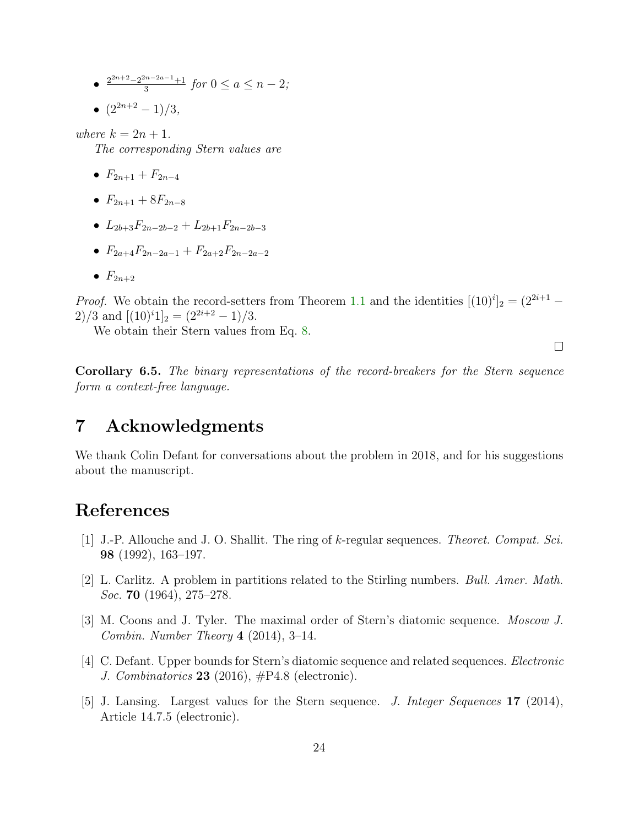- $\frac{2^{2n+2}-2^{2n-2a-1}+1}{3}$  $\frac{3^{n-2a-1}+1}{3}$  for  $0 \le a \le n-2;$
- $(2^{2n+2} 1)/3$ ,

where  $k = 2n + 1$ .

The corresponding Stern values are

- $F_{2n+1} + F_{2n-4}$
- $F_{2n+1} + 8F_{2n-8}$
- $L_{2b+3}F_{2n-2b-2} + L_{2b+1}F_{2n-2b-3}$
- $F_{2a+4}F_{2n-2a-1} + F_{2a+2}F_{2n-2a-2}$
- $F_{2n+2}$

*Proof.* We obtain the record-setters from Theorem [1.1](#page-2-1) and the identities  $[(10)^i]_2 = (2^{2i+1} -$ 2)/3 and  $[(10)^{i}1]_2 = (2^{2i+2} - 1)/3$ .

We obtain their Stern values from Eq. [8.](#page-10-7)

 $\Box$ 

Corollary 6.5. The binary representations of the record-breakers for the Stern sequence form a context-free language.

# 7 Acknowledgments

We thank Colin Defant for conversations about the problem in 2018, and for his suggestions about the manuscript.

## References

- <span id="page-23-0"></span>[1] J.-P. Allouche and J. O. Shallit. The ring of k-regular sequences. Theoret. Comput. Sci. 98 (1992), 163–197.
- <span id="page-23-4"></span>[2] L. Carlitz. A problem in partitions related to the Stirling numbers. Bull. Amer. Math. Soc. **70** (1964), 275–278.
- <span id="page-23-2"></span>[3] M. Coons and J. Tyler. The maximal order of Stern's diatomic sequence. Moscow J. Combin. Number Theory  $4$  (2014), 3-14.
- <span id="page-23-3"></span>[4] C. Defant. Upper bounds for Stern's diatomic sequence and related sequences. Electronic J. Combinatorics 23 (2016),  $\#P4.8$  (electronic).
- <span id="page-23-1"></span>[5] J. Lansing. Largest values for the Stern sequence. J. Integer Sequences 17 (2014), Article 14.7.5 (electronic).